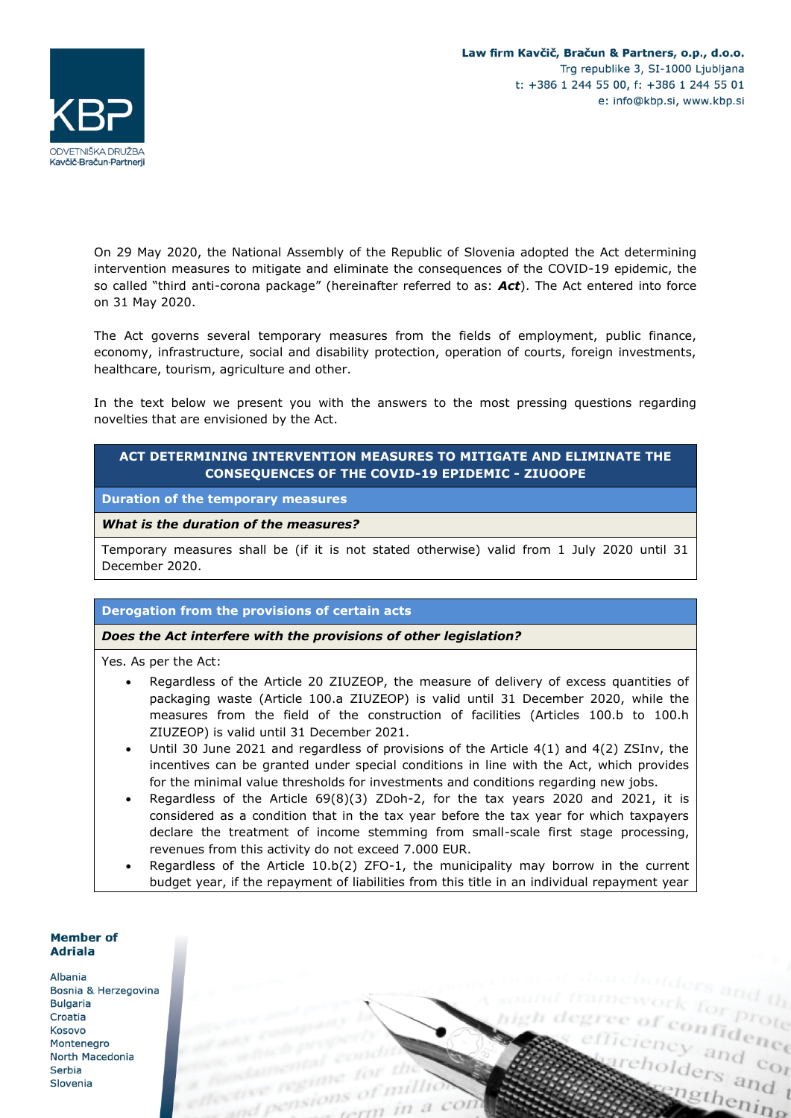

On 29 May 2020, the National Assembly of the Republic of Slovenia adopted the Act determining intervention measures to mitigate and eliminate the consequences of the COVID-19 epidemic, the so called "third anti-corona package" (hereinafter referred to as: *Act*). The Act entered into force on 31 May 2020.

The Act governs several temporary measures from the fields of employment, public finance, economy, infrastructure, social and disability protection, operation of courts, foreign investments, healthcare, tourism, agriculture and other.

In the text below we present you with the answers to the most pressing questions regarding novelties that are envisioned by the Act.

# **ACT DETERMINING INTERVENTION MEASURES TO MITIGATE AND ELIMINATE THE CONSEQUENCES OF THE COVID-19 EPIDEMIC - ZIUOOPE**

**Duration of the temporary measures**

#### *What is the duration of the measures?*

Temporary measures shall be (if it is not stated otherwise) valid from 1 July 2020 until 31 December 2020.

#### **Derogation from the provisions of certain acts**

#### *Does the Act interfere with the provisions of other legislation?*

Yes. As per the Act:

- Regardless of the Article 20 ZIUZEOP, the measure of delivery of excess quantities of packaging waste (Article 100.a ZIUZEOP) is valid until 31 December 2020, while the measures from the field of the construction of facilities (Articles 100.b to 100.h ZIUZEOP) is valid until 31 December 2021.
- Until 30 June 2021 and regardless of provisions of the Article  $4(1)$  and  $4(2)$  ZSInv, the incentives can be granted under special conditions in line with the Act, which provides for the minimal value thresholds for investments and conditions regarding new jobs.
- Regardless of the Article 69(8)(3) ZDoh-2, for the tax years 2020 and 2021, it is considered as a condition that in the tax year before the tax year for which taxpayers declare the treatment of income stemming from small-scale first stage processing, revenues from this activity do not exceed 7.000 EUR.
- Regardless of the Article 10.b(2) ZFO-1, the municipality may borrow in the current budget year, if the repayment of liabilities from this title in an individual repayment year

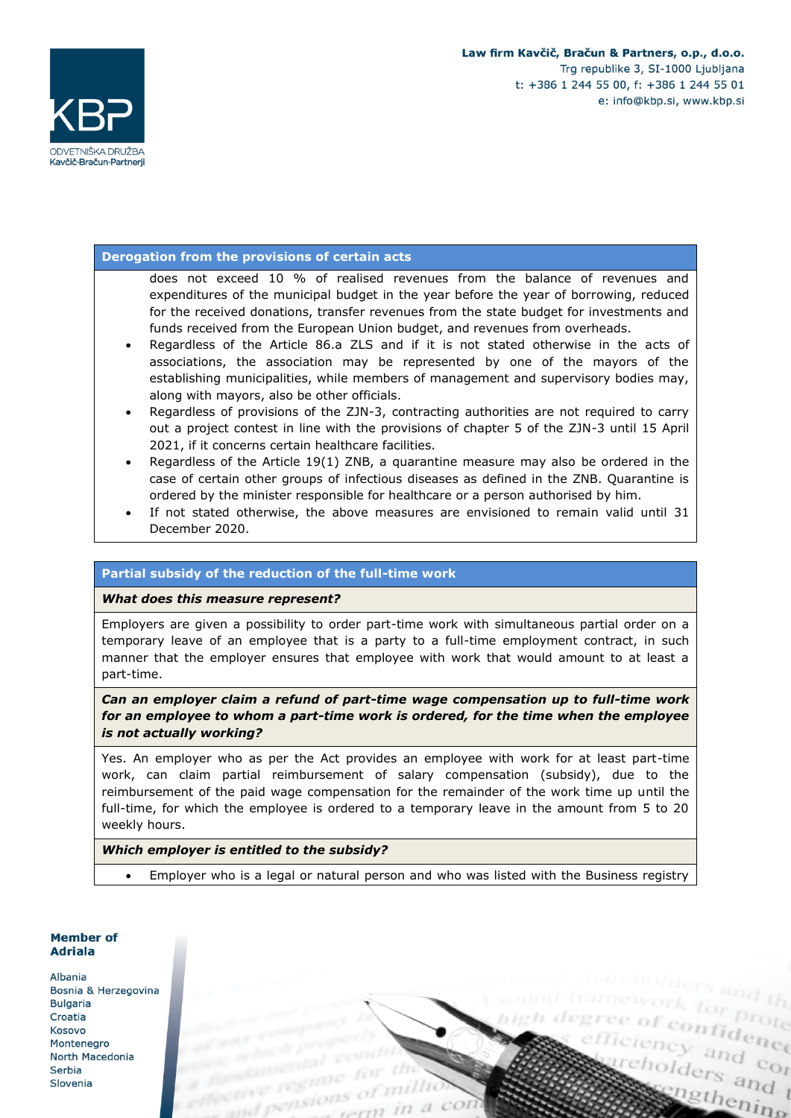



### **Derogation from the provisions of certain acts**

does not exceed 10 % of realised revenues from the balance of revenues and expenditures of the municipal budget in the year before the year of borrowing, reduced for the received donations, transfer revenues from the state budget for investments and funds received from the European Union budget, and revenues from overheads.

- Regardless of the Article 86.a ZLS and if it is not stated otherwise in the acts of associations, the association may be represented by one of the mayors of the establishing municipalities, while members of management and supervisory bodies may, along with mayors, also be other officials.
- Regardless of provisions of the ZJN-3, contracting authorities are not required to carry out a project contest in line with the provisions of chapter 5 of the ZJN-3 until 15 April 2021, if it concerns certain healthcare facilities.
- Regardless of the Article 19(1) ZNB, a quarantine measure may also be ordered in the case of certain other groups of infectious diseases as defined in the ZNB. Quarantine is ordered by the minister responsible for healthcare or a person authorised by him.
- If not stated otherwise, the above measures are envisioned to remain valid until 31 December 2020.

### **Partial subsidy of the reduction of the full-time work**

*What does this measure represent?*

Employers are given a possibility to order part-time work with simultaneous partial order on a temporary leave of an employee that is a party to a full-time employment contract, in such manner that the employer ensures that employee with work that would amount to at least a part-time.

*Can an employer claim a refund of part-time wage compensation up to full-time work for an employee to whom a part-time work is ordered, for the time when the employee is not actually working?*

Yes. An employer who as per the Act provides an employee with work for at least part-time work, can claim partial reimbursement of salary compensation (subsidy), due to the reimbursement of the paid wage compensation for the remainder of the work time up until the full-time, for which the employee is ordered to a temporary leave in the amount from 5 to 20 weekly hours.

### *Which employer is entitled to the subsidy?*

• Employer who is a legal or natural person and who was listed with the Business registry

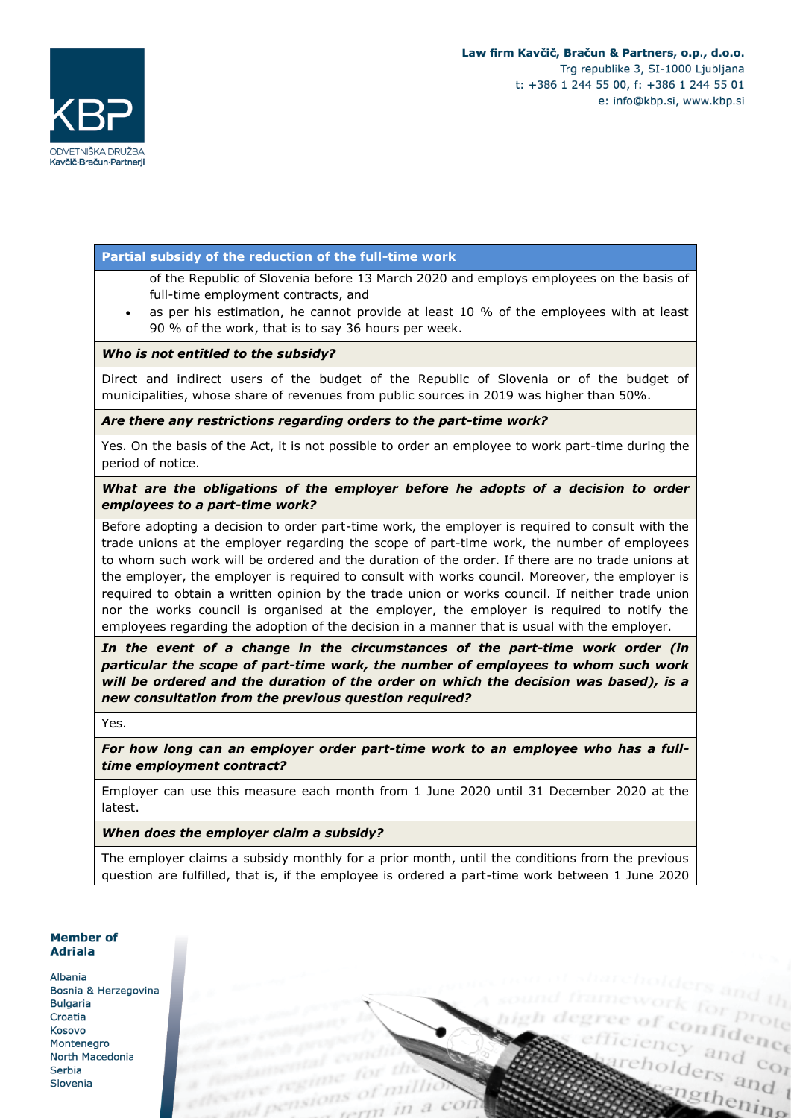cholders and t

ingthening

efficiency and contain



### **Partial subsidy of the reduction of the full-time work**

- of the Republic of Slovenia before 13 March 2020 and employs employees on the basis of full-time employment contracts, and
- as per his estimation, he cannot provide at least  $10\%$  of the employees with at least 90 % of the work, that is to say 36 hours per week.

### *Who is not entitled to the subsidy?*

Direct and indirect users of the budget of the Republic of Slovenia or of the budget of municipalities, whose share of revenues from public sources in 2019 was higher than 50%.

*Are there any restrictions regarding orders to the part-time work?* 

Yes. On the basis of the Act, it is not possible to order an employee to work part-time during the period of notice.

*What are the obligations of the employer before he adopts of a decision to order employees to a part-time work?*

Before adopting a decision to order part-time work, the employer is required to consult with the trade unions at the employer regarding the scope of part-time work, the number of employees to whom such work will be ordered and the duration of the order. If there are no trade unions at the employer, the employer is required to consult with works council. Moreover, the employer is required to obtain a written opinion by the trade union or works council. If neither trade union nor the works council is organised at the employer, the employer is required to notify the employees regarding the adoption of the decision in a manner that is usual with the employer.

*In the event of a change in the circumstances of the part-time work order (in particular the scope of part-time work, the number of employees to whom such work will be ordered and the duration of the order on which the decision was based), is a new consultation from the previous question required?*

Yes.

*For how long can an employer order part-time work to an employee who has a fulltime employment contract?*

Employer can use this measure each month from 1 June 2020 until 31 December 2020 at the latest.

*When does the employer claim a subsidy?* 

The employer claims a subsidy monthly for a prior month, until the conditions from the previous question are fulfilled, that is, if the employee is ordered a part-time work between 1 June 2020

### **Member of Adriala**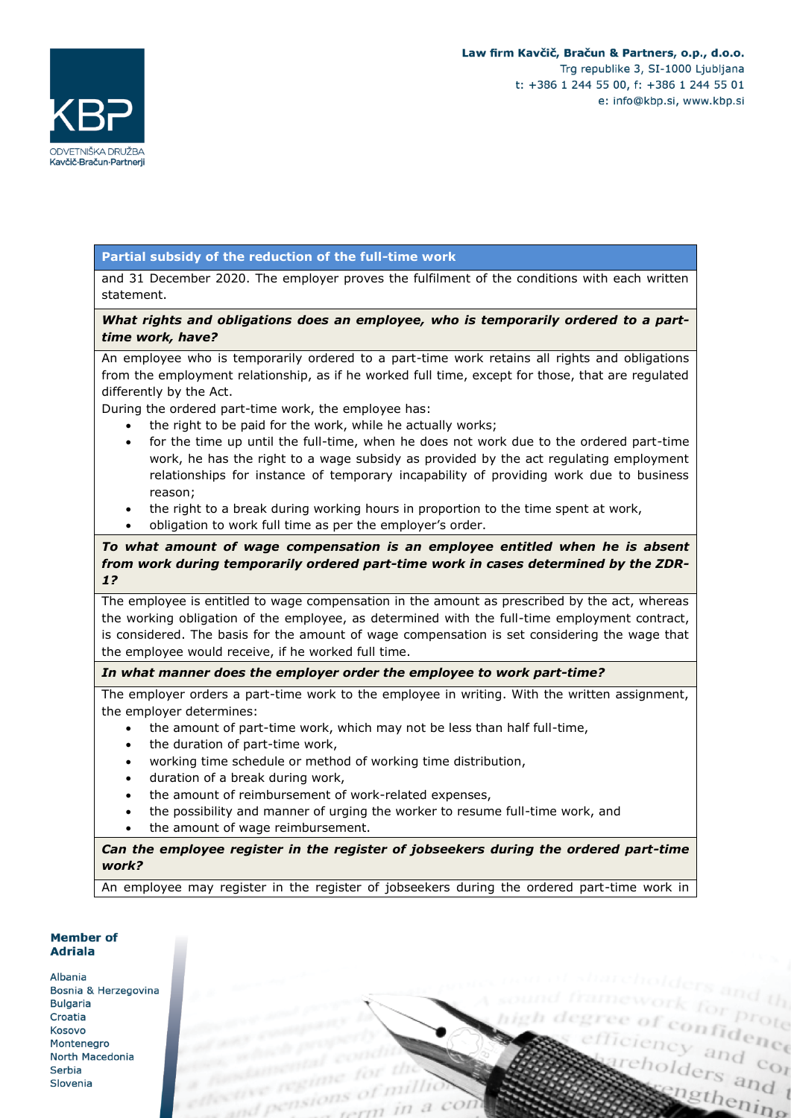ciency and control<br>eholders and control

cholders and t

ingthening



## **Partial subsidy of the reduction of the full-time work**

and 31 December 2020. The employer proves the fulfilment of the conditions with each written statement.

## *What rights and obligations does an employee, who is temporarily ordered to a parttime work, have?*

An employee who is temporarily ordered to a part-time work retains all rights and obligations from the employment relationship, as if he worked full time, except for those, that are regulated differently by the Act.

During the ordered part-time work, the employee has:

- the right to be paid for the work, while he actually works;
- for the time up until the full-time, when he does not work due to the ordered part-time work, he has the right to a wage subsidy as provided by the act regulating employment relationships for instance of temporary incapability of providing work due to business reason;
- the right to a break during working hours in proportion to the time spent at work,
- obligation to work full time as per the employer's order.

### *To what amount of wage compensation is an employee entitled when he is absent from work during temporarily ordered part-time work in cases determined by the ZDR-1?*

The employee is entitled to wage compensation in the amount as prescribed by the act, whereas the working obligation of the employee, as determined with the full-time employment contract, is considered. The basis for the amount of wage compensation is set considering the wage that the employee would receive, if he worked full time.

### *In what manner does the employer order the employee to work part-time?*

The employer orders a part-time work to the employee in writing. With the written assignment, the employer determines:

- the amount of part-time work, which may not be less than half full-time,
- the duration of part-time work,
- working time schedule or method of working time distribution,
- duration of a break during work,
- the amount of reimbursement of work-related expenses,
- the possibility and manner of urging the worker to resume full-time work, and
- the amount of wage reimbursement.

*Can the employee register in the register of jobseekers during the ordered part-time work?* 

An employee may register in the register of jobseekers during the ordered part-time work in

#### **Member of Adriala**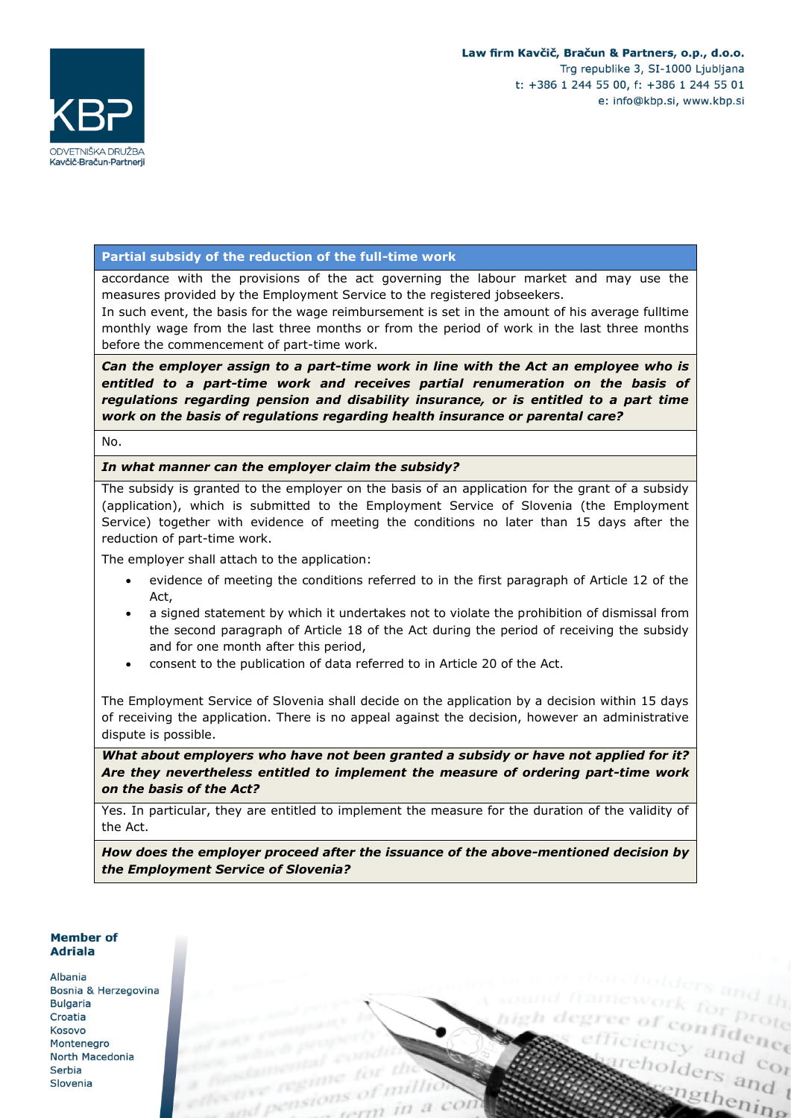

### **Partial subsidy of the reduction of the full-time work**

accordance with the provisions of the act governing the labour market and may use the measures provided by the Employment Service to the registered jobseekers.

In such event, the basis for the wage reimbursement is set in the amount of his average fulltime monthly wage from the last three months or from the period of work in the last three months before the commencement of part-time work.

*Can the employer assign to a part-time work in line with the Act an employee who is*  entitled to a part-time work and receives partial renumeration on the basis of *regulations regarding pension and disability insurance, or is entitled to a part time work on the basis of regulations regarding health insurance or parental care?*

No.

#### *In what manner can the employer claim the subsidy?*

The subsidy is granted to the employer on the basis of an application for the grant of a subsidy (application), which is submitted to the Employment Service of Slovenia (the Employment Service) together with evidence of meeting the conditions no later than 15 days after the reduction of part-time work.

The employer shall attach to the application:

- evidence of meeting the conditions referred to in the first paragraph of Article 12 of the Act,
- a signed statement by which it undertakes not to violate the prohibition of dismissal from the second paragraph of Article 18 of the Act during the period of receiving the subsidy and for one month after this period,
- consent to the publication of data referred to in Article 20 of the Act.

The Employment Service of Slovenia shall decide on the application by a decision within 15 days of receiving the application. There is no appeal against the decision, however an administrative dispute is possible.

*What about employers who have not been granted a subsidy or have not applied for it? Are they nevertheless entitled to implement the measure of ordering part-time work on the basis of the Act?*

Yes. In particular, they are entitled to implement the measure for the duration of the validity of the Act.

*How does the employer proceed after the issuance of the above-mentioned decision by the Employment Service of Slovenia?*

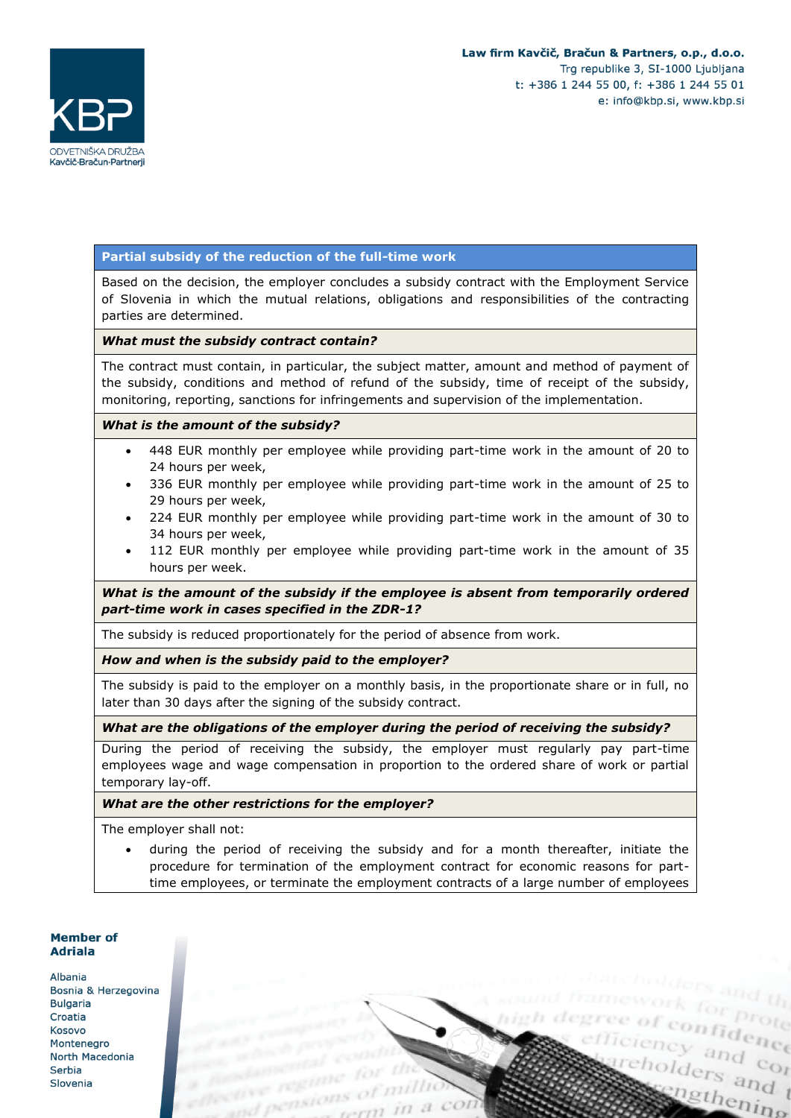

eholders and t

ingthening

efficiency and contact



### **Partial subsidy of the reduction of the full-time work**

Based on the decision, the employer concludes a subsidy contract with the Employment Service of Slovenia in which the mutual relations, obligations and responsibilities of the contracting parties are determined.

#### *What must the subsidy contract contain?*

The contract must contain, in particular, the subject matter, amount and method of payment of the subsidy, conditions and method of refund of the subsidy, time of receipt of the subsidy, monitoring, reporting, sanctions for infringements and supervision of the implementation.

#### *What is the amount of the subsidy?*

- 448 EUR monthly per employee while providing part-time work in the amount of 20 to 24 hours per week,
- 336 EUR monthly per employee while providing part-time work in the amount of 25 to 29 hours per week,
- 224 EUR monthly per employee while providing part-time work in the amount of 30 to 34 hours per week,
- 112 EUR monthly per employee while providing part-time work in the amount of 35 hours per week.

*What is the amount of the subsidy if the employee is absent from temporarily ordered part-time work in cases specified in the ZDR-1?*

The subsidy is reduced proportionately for the period of absence from work.

*How and when is the subsidy paid to the employer?*

The subsidy is paid to the employer on a monthly basis, in the proportionate share or in full, no later than 30 days after the signing of the subsidy contract.

#### *What are the obligations of the employer during the period of receiving the subsidy?*

During the period of receiving the subsidy, the employer must regularly pay part-time employees wage and wage compensation in proportion to the ordered share of work or partial temporary lay-off.

#### *What are the other restrictions for the employer?*

The employer shall not:

• during the period of receiving the subsidy and for a month thereafter, initiate the procedure for termination of the employment contract for economic reasons for parttime employees, or terminate the employment contracts of a large number of employees

# **Member of Adriala**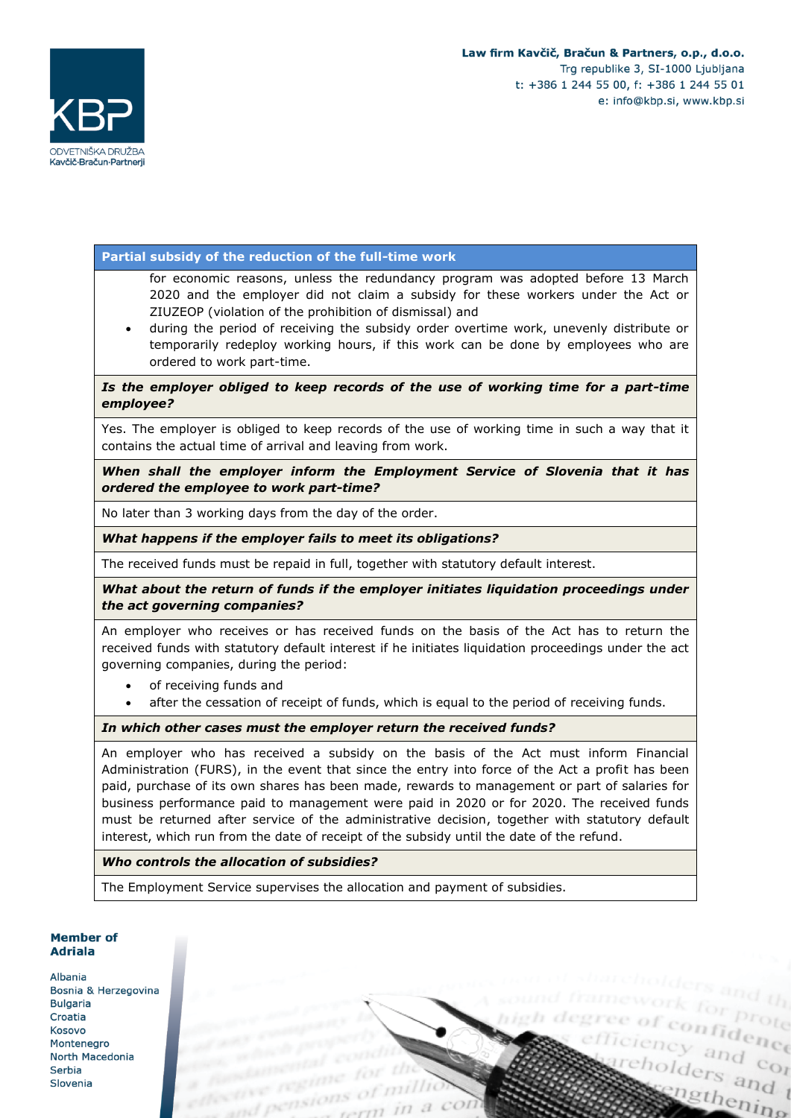cholders and t

ingthening

gree of confidence



### **Partial subsidy of the reduction of the full-time work**

for economic reasons, unless the redundancy program was adopted before 13 March 2020 and the employer did not claim a subsidy for these workers under the Act or ZIUZEOP (violation of the prohibition of dismissal) and

• during the period of receiving the subsidy order overtime work, unevenly distribute or temporarily redeploy working hours, if this work can be done by employees who are ordered to work part-time.

### Is the employer obliged to keep records of the use of working time for a part-time *employee?*

Yes. The employer is obliged to keep records of the use of working time in such a way that it contains the actual time of arrival and leaving from work.

*When shall the employer inform the Employment Service of Slovenia that it has ordered the employee to work part-time?*

No later than 3 working days from the day of the order.

*What happens if the employer fails to meet its obligations?*

The received funds must be repaid in full, together with statutory default interest.

*What about the return of funds if the employer initiates liquidation proceedings under the act governing companies?*

An employer who receives or has received funds on the basis of the Act has to return the received funds with statutory default interest if he initiates liquidation proceedings under the act governing companies, during the period:

- of receiving funds and
- after the cessation of receipt of funds, which is equal to the period of receiving funds.

*In which other cases must the employer return the received funds?*

An employer who has received a subsidy on the basis of the Act must inform Financial Administration (FURS), in the event that since the entry into force of the Act a profit has been paid, purchase of its own shares has been made, rewards to management or part of salaries for business performance paid to management were paid in 2020 or for 2020. The received funds must be returned after service of the administrative decision, together with statutory default interest, which run from the date of receipt of the subsidy until the date of the refund.

*Who controls the allocation of subsidies?*

The Employment Service supervises the allocation and payment of subsidies.

# **Member of Adriala**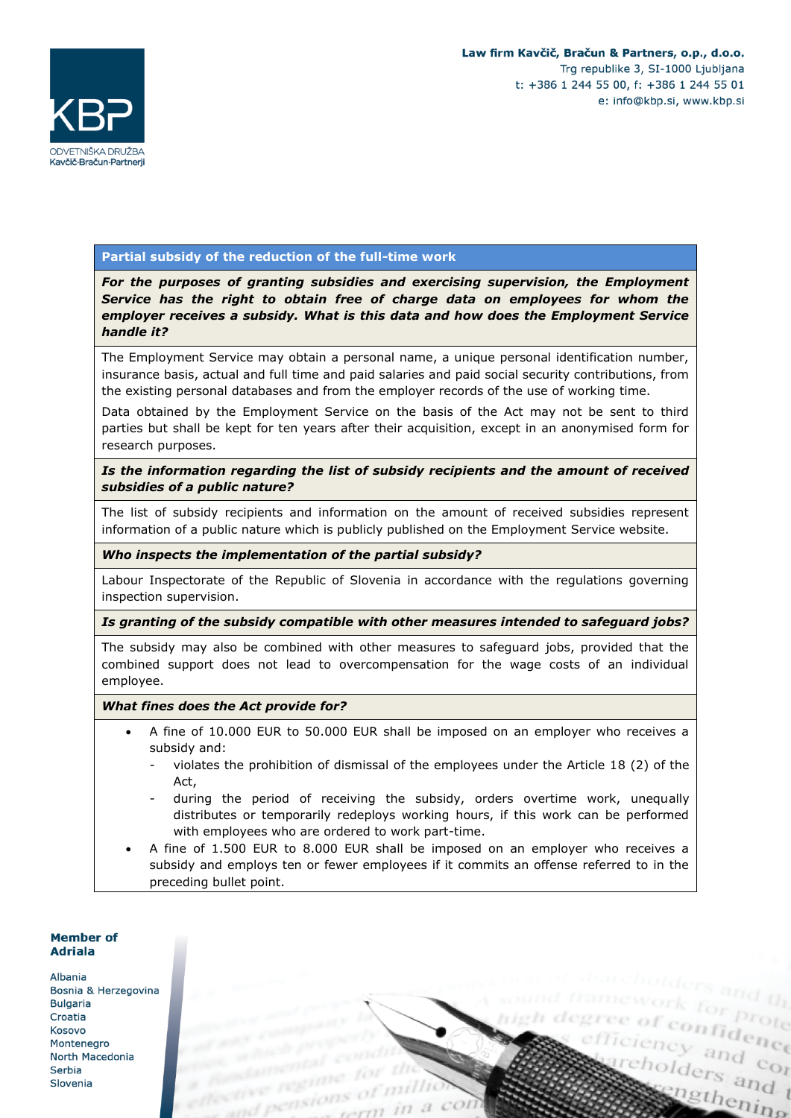

### **Partial subsidy of the reduction of the full-time work**

*For the purposes of granting subsidies and exercising supervision, the Employment Service has the right to obtain free of charge data on employees for whom the employer receives a subsidy. What is this data and how does the Employment Service handle it?*

The Employment Service may obtain a personal name, a unique personal identification number, insurance basis, actual and full time and paid salaries and paid social security contributions, from the existing personal databases and from the employer records of the use of working time.

Data obtained by the Employment Service on the basis of the Act may not be sent to third parties but shall be kept for ten years after their acquisition, except in an anonymised form for research purposes.

### *Is the information regarding the list of subsidy recipients and the amount of received subsidies of a public nature?*

The list of subsidy recipients and information on the amount of received subsidies represent information of a public nature which is publicly published on the Employment Service website.

#### *Who inspects the implementation of the partial subsidy?*

Labour Inspectorate of the Republic of Slovenia in accordance with the regulations governing inspection supervision.

#### *Is granting of the subsidy compatible with other measures intended to safeguard jobs?*

The subsidy may also be combined with other measures to safeguard jobs, provided that the combined support does not lead to overcompensation for the wage costs of an individual employee.

#### *What fines does the Act provide for?*

- A fine of 10.000 EUR to 50.000 EUR shall be imposed on an employer who receives a subsidy and:
	- violates the prohibition of dismissal of the employees under the Article  $18$  (2) of the Act,
	- during the period of receiving the subsidy, orders overtime work, unequally distributes or temporarily redeploys working hours, if this work can be performed with employees who are ordered to work part-time.
- A fine of 1.500 EUR to 8.000 EUR shall be imposed on an employer who receives a subsidy and employs ten or fewer employees if it commits an offense referred to in the preceding bullet point.

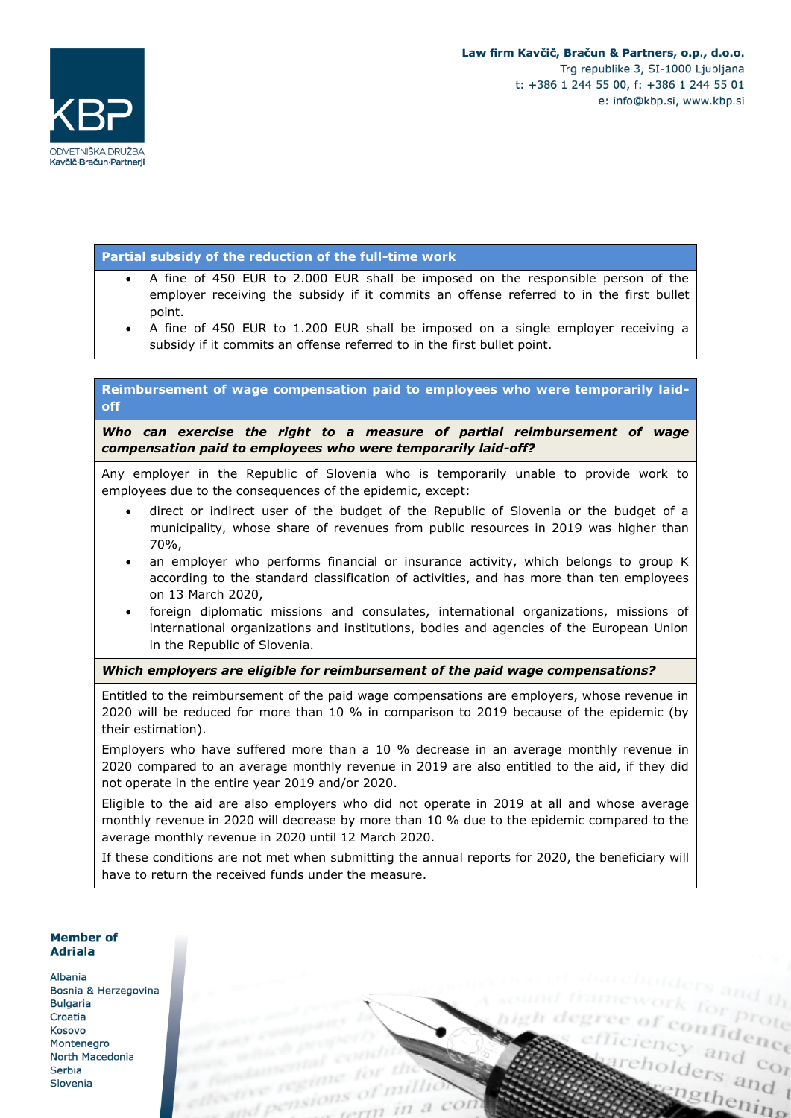cholders and t

ingthening

gree of confidence



### **Partial subsidy of the reduction of the full-time work**

- A fine of 450 EUR to 2.000 EUR shall be imposed on the responsible person of the employer receiving the subsidy if it commits an offense referred to in the first bullet point.
- A fine of 450 EUR to 1.200 EUR shall be imposed on a single employer receiving a subsidy if it commits an offense referred to in the first bullet point.

### **Reimbursement of wage compensation paid to employees who were temporarily laidoff**

*Who can exercise the right to a measure of partial reimbursement of wage compensation paid to employees who were temporarily laid-off?*

Any employer in the Republic of Slovenia who is temporarily unable to provide work to employees due to the consequences of the epidemic, except:

- direct or indirect user of the budget of the Republic of Slovenia or the budget of a municipality, whose share of revenues from public resources in 2019 was higher than 70%,
- an employer who performs financial or insurance activity, which belongs to group K according to the standard classification of activities, and has more than ten employees on 13 March 2020,
- foreign diplomatic missions and consulates, international organizations, missions of international organizations and institutions, bodies and agencies of the European Union in the Republic of Slovenia.

*Which employers are eligible for reimbursement of the paid wage compensations?*

Entitled to the reimbursement of the paid wage compensations are employers, whose revenue in 2020 will be reduced for more than 10 % in comparison to 2019 because of the epidemic (by their estimation).

Employers who have suffered more than a 10 % decrease in an average monthly revenue in 2020 compared to an average monthly revenue in 2019 are also entitled to the aid, if they did not operate in the entire year 2019 and/or 2020.

Eligible to the aid are also employers who did not operate in 2019 at all and whose average monthly revenue in 2020 will decrease by more than 10 % due to the epidemic compared to the average monthly revenue in 2020 until 12 March 2020.

If these conditions are not met when submitting the annual reports for 2020, the beneficiary will have to return the received funds under the measure.

### **Member of Adriala**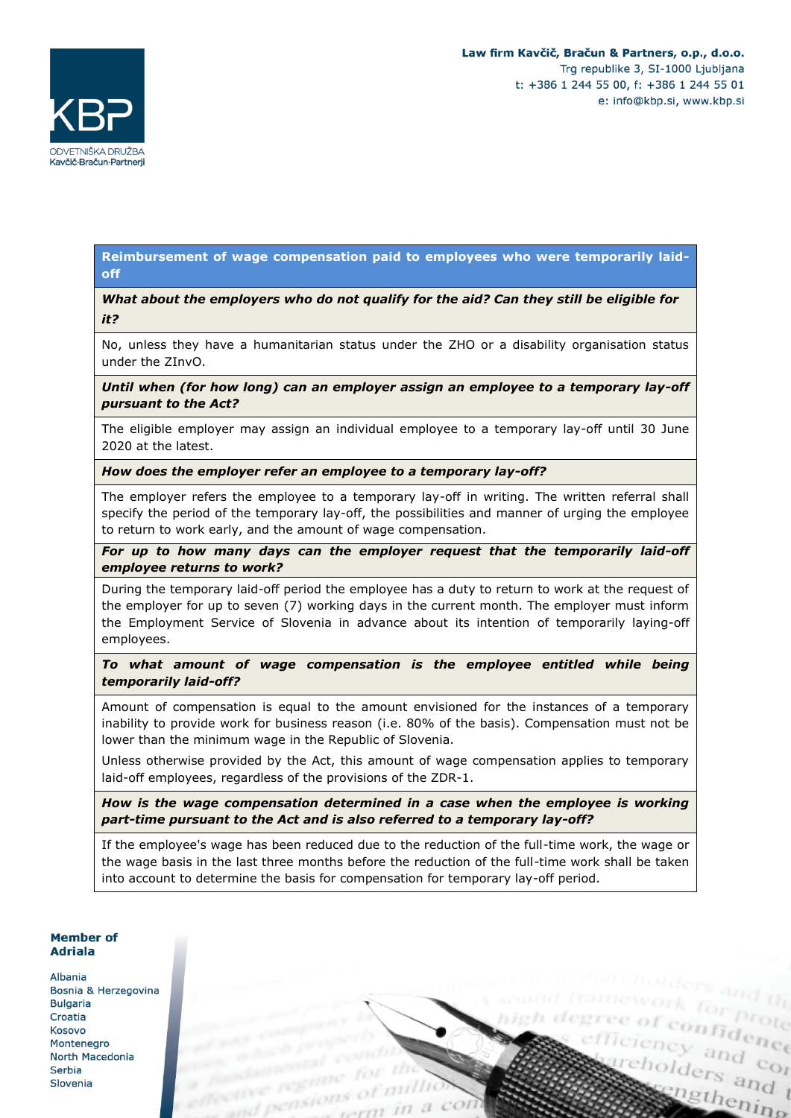enfidence

cholders and t

ingthening



### **Reimbursement of wage compensation paid to employees who were temporarily laidoff**

*What about the employers who do not qualify for the aid? Can they still be eligible for it?*

No, unless they have a humanitarian status under the ZHO or a disability organisation status under the ZInvO.

*Until when (for how long) can an employer assign an employee to a temporary lay-off pursuant to the Act?*

The eligible employer may assign an individual employee to a temporary lay-off until 30 June 2020 at the latest.

*How does the employer refer an employee to a temporary lay-off?*

The employer refers the employee to a temporary lay-off in writing. The written referral shall specify the period of the temporary lay-off, the possibilities and manner of urging the employee to return to work early, and the amount of wage compensation.

*For up to how many days can the employer request that the temporarily laid-off employee returns to work?*

During the temporary laid-off period the employee has a duty to return to work at the request of the employer for up to seven (7) working days in the current month. The employer must inform the Employment Service of Slovenia in advance about its intention of temporarily laying-off employees.

# *To what amount of wage compensation is the employee entitled while being temporarily laid-off?*

Amount of compensation is equal to the amount envisioned for the instances of a temporary inability to provide work for business reason (i.e. 80% of the basis). Compensation must not be lower than the minimum wage in the Republic of Slovenia.

Unless otherwise provided by the Act, this amount of wage compensation applies to temporary laid-off employees, regardless of the provisions of the ZDR-1.

*How is the wage compensation determined in a case when the employee is working part-time pursuant to the Act and is also referred to a temporary lay-off?*

If the employee's wage has been reduced due to the reduction of the full-time work, the wage or the wage basis in the last three months before the reduction of the full-time work shall be taken into account to determine the basis for compensation for temporary lay-off period.

### Member of **Adriala**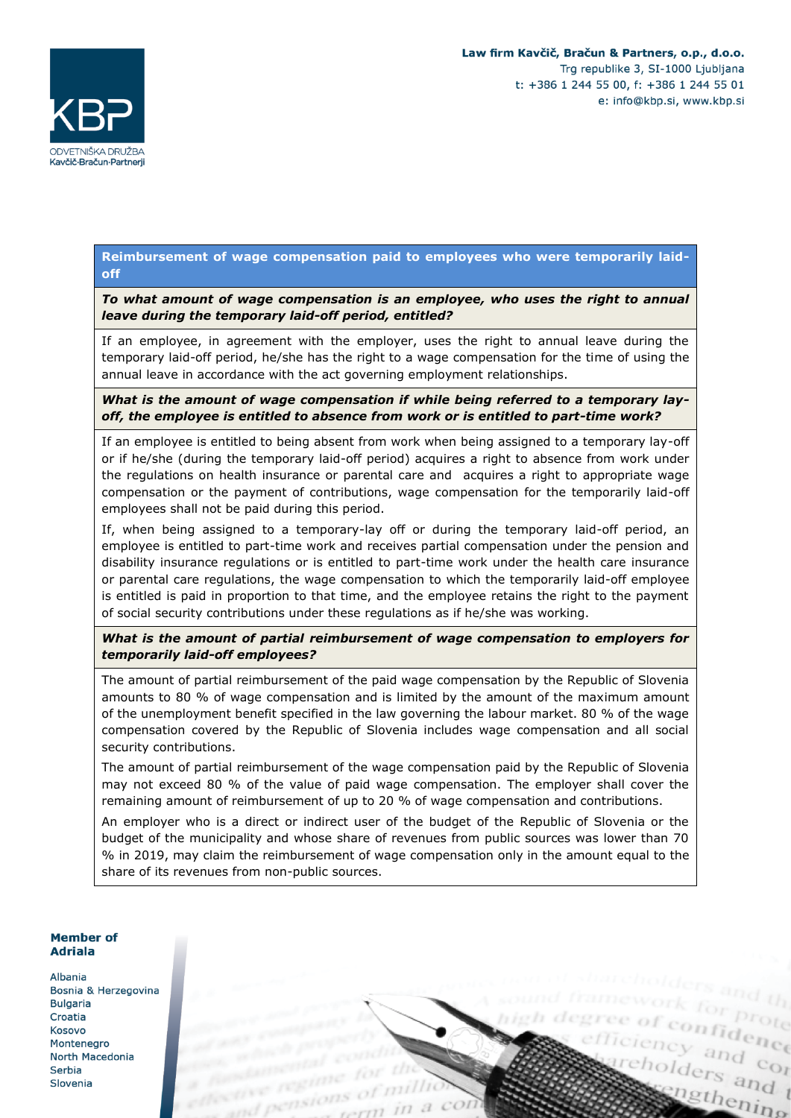ciency and control<br>eholders and control

cholders and t

ingthening



### **Reimbursement of wage compensation paid to employees who were temporarily laidoff**

*To what amount of wage compensation is an employee, who uses the right to annual leave during the temporary laid-off period, entitled?*

If an employee, in agreement with the employer, uses the right to annual leave during the temporary laid-off period, he/she has the right to a wage compensation for the time of using the annual leave in accordance with the act governing employment relationships.

*What is the amount of wage compensation if while being referred to a temporary layoff, the employee is entitled to absence from work or is entitled to part-time work?*

If an employee is entitled to being absent from work when being assigned to a temporary lay-off or if he/she (during the temporary laid-off period) acquires a right to absence from work under the regulations on health insurance or parental care and acquires a right to appropriate wage compensation or the payment of contributions, wage compensation for the temporarily laid-off employees shall not be paid during this period.

If, when being assigned to a temporary-lay off or during the temporary laid-off period, an employee is entitled to part-time work and receives partial compensation under the pension and disability insurance regulations or is entitled to part-time work under the health care insurance or parental care regulations, the wage compensation to which the temporarily laid-off employee is entitled is paid in proportion to that time, and the employee retains the right to the payment of social security contributions under these regulations as if he/she was working.

*What is the amount of partial reimbursement of wage compensation to employers for temporarily laid-off employees?*

The amount of partial reimbursement of the paid wage compensation by the Republic of Slovenia amounts to 80 % of wage compensation and is limited by the amount of the maximum amount of the unemployment benefit specified in the law governing the labour market. 80 % of the wage compensation covered by the Republic of Slovenia includes wage compensation and all social security contributions.

The amount of partial reimbursement of the wage compensation paid by the Republic of Slovenia may not exceed 80 % of the value of paid wage compensation. The employer shall cover the remaining amount of reimbursement of up to 20 % of wage compensation and contributions.

An employer who is a direct or indirect user of the budget of the Republic of Slovenia or the budget of the municipality and whose share of revenues from public sources was lower than 70 % in 2019, may claim the reimbursement of wage compensation only in the amount equal to the share of its revenues from non-public sources.

#### Member of **Adriala**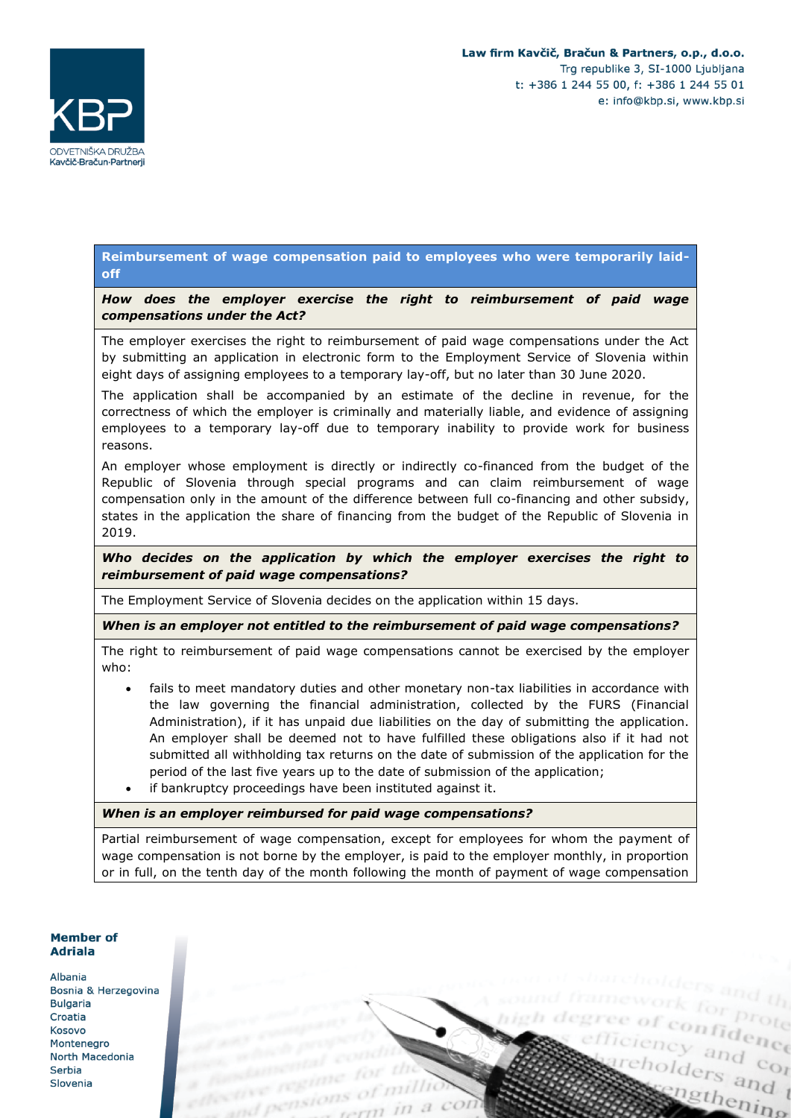

### **Reimbursement of wage compensation paid to employees who were temporarily laidoff**

*How does the employer exercise the right to reimbursement of paid wage compensations under the Act?*

The employer exercises the right to reimbursement of paid wage compensations under the Act by submitting an application in electronic form to the Employment Service of Slovenia within eight days of assigning employees to a temporary lay-off, but no later than 30 June 2020.

The application shall be accompanied by an estimate of the decline in revenue, for the correctness of which the employer is criminally and materially liable, and evidence of assigning employees to a temporary lay-off due to temporary inability to provide work for business reasons.

An employer whose employment is directly or indirectly co-financed from the budget of the Republic of Slovenia through special programs and can claim reimbursement of wage compensation only in the amount of the difference between full co-financing and other subsidy, states in the application the share of financing from the budget of the Republic of Slovenia in 2019.

*Who decides on the application by which the employer exercises the right to reimbursement of paid wage compensations?*

The Employment Service of Slovenia decides on the application within 15 days.

*When is an employer not entitled to the reimbursement of paid wage compensations?*

The right to reimbursement of paid wage compensations cannot be exercised by the employer who:

- fails to meet mandatory duties and other monetary non-tax liabilities in accordance with the law governing the financial administration, collected by the FURS (Financial Administration), if it has unpaid due liabilities on the day of submitting the application. An employer shall be deemed not to have fulfilled these obligations also if it had not submitted all withholding tax returns on the date of submission of the application for the period of the last five years up to the date of submission of the application;
- if bankruptcy proceedings have been instituted against it.

*When is an employer reimbursed for paid wage compensations?*

Partial reimbursement of wage compensation, except for employees for whom the payment of wage compensation is not borne by the employer, is paid to the employer monthly, in proportion or in full, on the tenth day of the month following the month of payment of wage compensation

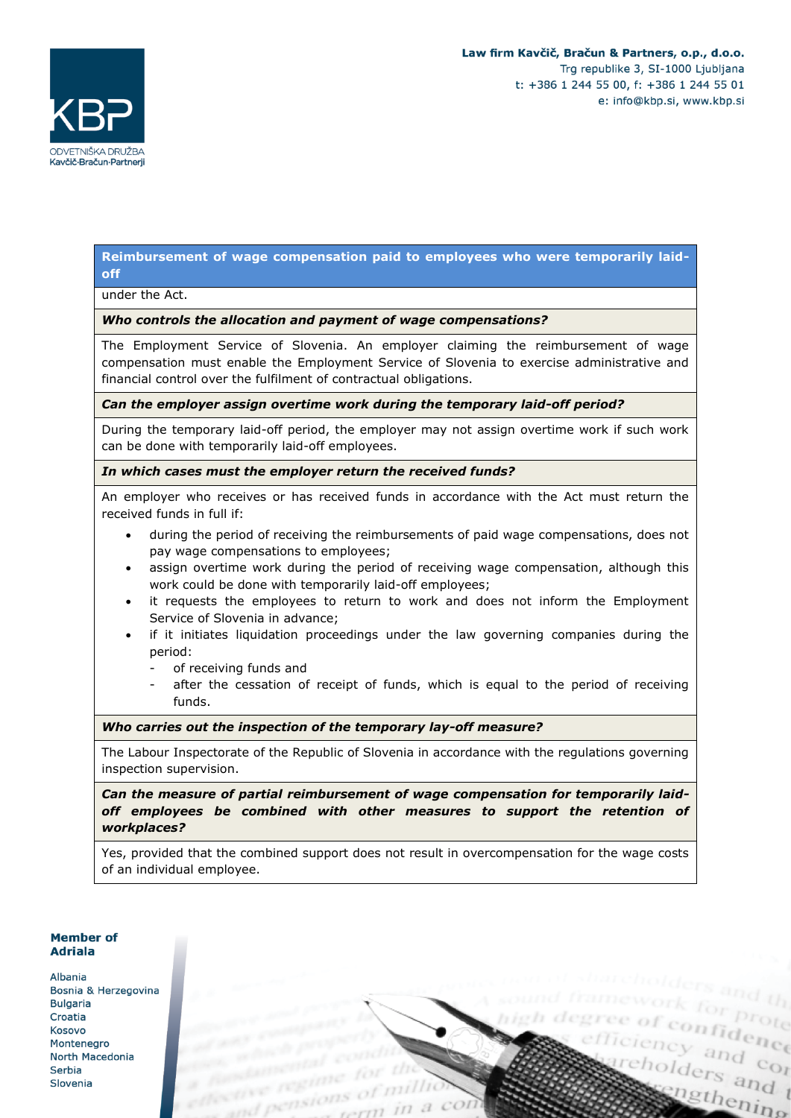ency and control

cholders and t

ngthening



### **Reimbursement of wage compensation paid to employees who were temporarily laidoff**

under the Act.

### *Who controls the allocation and payment of wage compensations?*

The Employment Service of Slovenia. An employer claiming the reimbursement of wage compensation must enable the Employment Service of Slovenia to exercise administrative and financial control over the fulfilment of contractual obligations.

#### *Can the employer assign overtime work during the temporary laid-off period?*

During the temporary laid-off period, the employer may not assign overtime work if such work can be done with temporarily laid-off employees.

### *In which cases must the employer return the received funds?*

An employer who receives or has received funds in accordance with the Act must return the received funds in full if:

- during the period of receiving the reimbursements of paid wage compensations, does not pay wage compensations to employees;
- assign overtime work during the period of receiving wage compensation, although this work could be done with temporarily laid-off employees;
- it requests the employees to return to work and does not inform the Employment Service of Slovenia in advance;
- if it initiates liquidation proceedings under the law governing companies during the period:
	- of receiving funds and
	- after the cessation of receipt of funds, which is equal to the period of receiving funds.

### *Who carries out the inspection of the temporary lay-off measure?*

The Labour Inspectorate of the Republic of Slovenia in accordance with the regulations governing inspection supervision.

*Can the measure of partial reimbursement of wage compensation for temporarily laidoff employees be combined with other measures to support the retention of workplaces?*

Yes, provided that the combined support does not result in overcompensation for the wage costs of an individual employee.

### **Member of Adriala**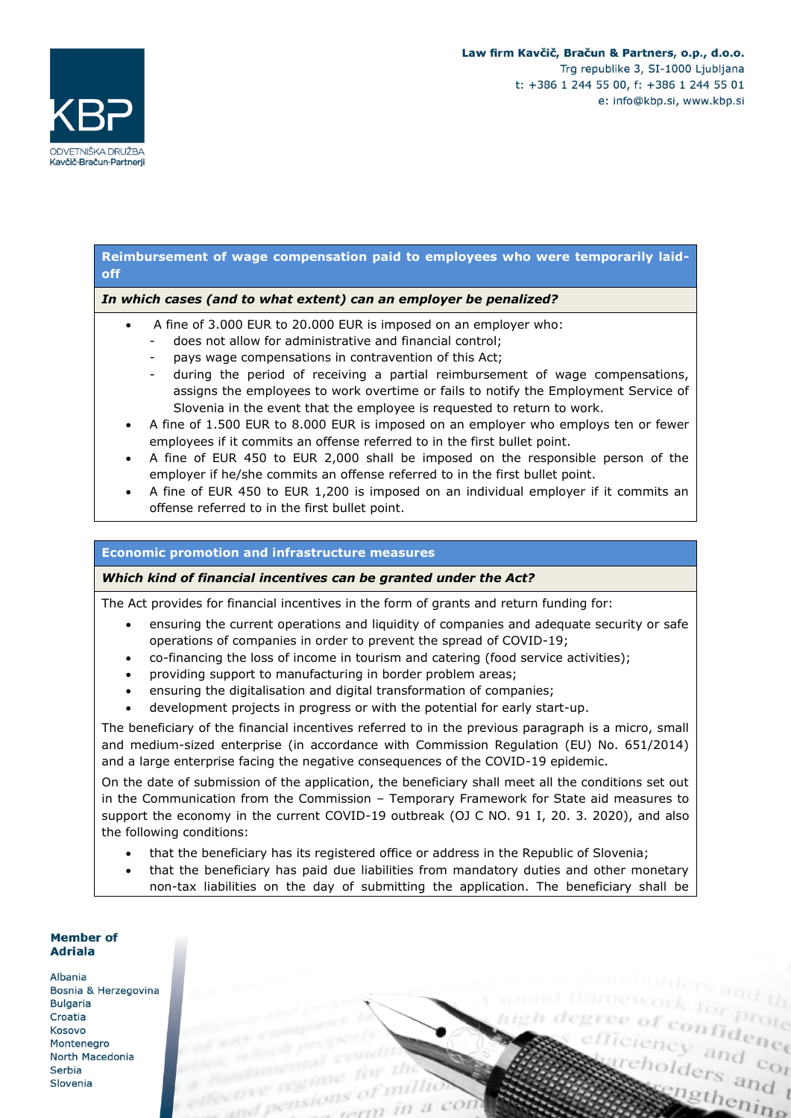

### **Reimbursement of wage compensation paid to employees who were temporarily laidoff**

### *In which cases (and to what extent) can an employer be penalized?*

- A fine of 3.000 EUR to 20.000 EUR is imposed on an employer who:
	- does not allow for administrative and financial control;
	- pays wage compensations in contravention of this Act;
	- during the period of receiving a partial reimbursement of wage compensations, assigns the employees to work overtime or fails to notify the Employment Service of Slovenia in the event that the employee is requested to return to work.
- A fine of 1.500 EUR to 8.000 EUR is imposed on an employer who employs ten or fewer employees if it commits an offense referred to in the first bullet point.
- A fine of EUR 450 to EUR 2,000 shall be imposed on the responsible person of the employer if he/she commits an offense referred to in the first bullet point.
- A fine of EUR 450 to EUR 1,200 is imposed on an individual employer if it commits an offense referred to in the first bullet point.

#### **Economic promotion and infrastructure measures**

#### *Which kind of financial incentives can be granted under the Act?*

The Act provides for financial incentives in the form of grants and return funding for:

- ensuring the current operations and liquidity of companies and adequate security or safe operations of companies in order to prevent the spread of COVID-19;
- co-financing the loss of income in tourism and catering (food service activities);
- providing support to manufacturing in border problem areas;
- ensuring the digitalisation and digital transformation of companies;
- development projects in progress or with the potential for early start-up.

The beneficiary of the financial incentives referred to in the previous paragraph is a micro, small and medium-sized enterprise (in accordance with Commission Regulation (EU) No. 651/2014) and a large enterprise facing the negative consequences of the COVID-19 epidemic.

On the date of submission of the application, the beneficiary shall meet all the conditions set out in the Communication from the Commission – Temporary Framework for State aid measures to support the economy in the current COVID-19 outbreak (OJ C NO. 91 I, 20. 3. 2020), and also the following conditions:

- that the beneficiary has its registered office or address in the Republic of Slovenia;
- that the beneficiary has paid due liabilities from mandatory duties and other monetary non-tax liabilities on the day of submitting the application. The beneficiary shall be

#### **Member of Adriala** Albania Bosnia & Herzegovina **Bulgaria** ee of confidence Croatia enfidence Kosovo Montenegro cholders and t North Macedonia Serbia Slovenia ingthening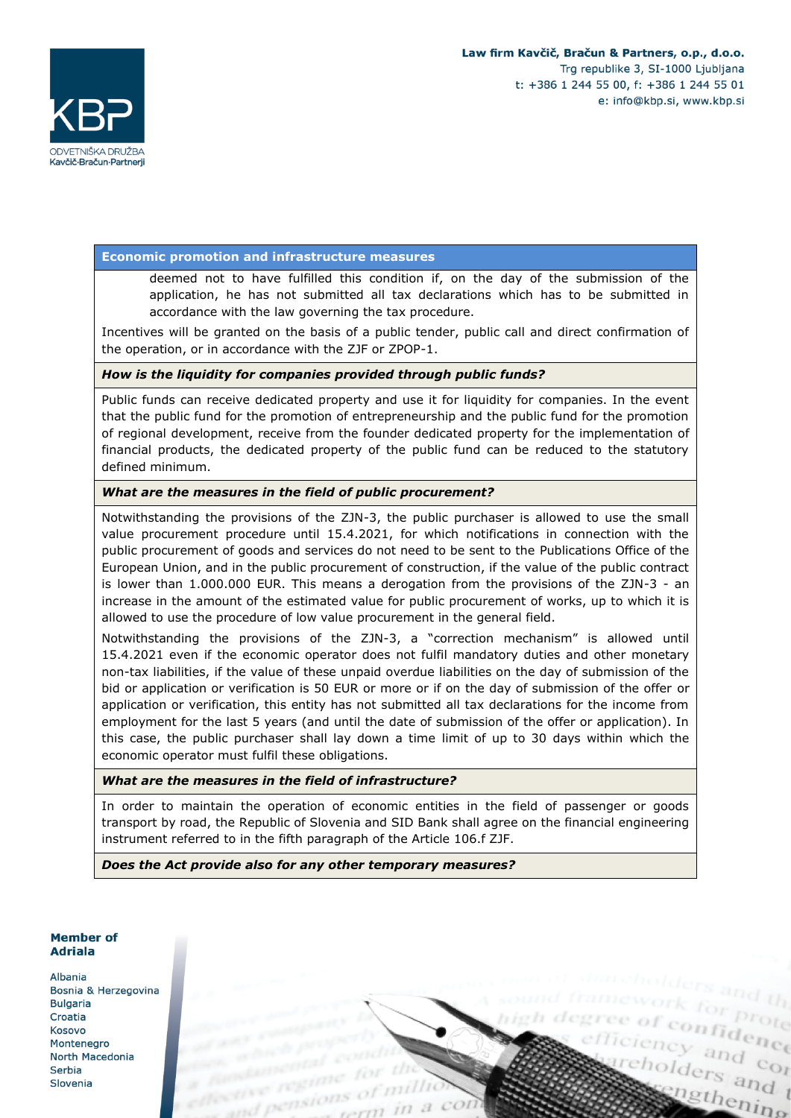

### **Economic promotion and infrastructure measures**

deemed not to have fulfilled this condition if, on the day of the submission of the application, he has not submitted all tax declarations which has to be submitted in accordance with the law governing the tax procedure.

Incentives will be granted on the basis of a public tender, public call and direct confirmation of the operation, or in accordance with the ZJF or ZPOP-1.

#### *How is the liquidity for companies provided through public funds?*

Public funds can receive dedicated property and use it for liquidity for companies. In the event that the public fund for the promotion of entrepreneurship and the public fund for the promotion of regional development, receive from the founder dedicated property for the implementation of financial products, the dedicated property of the public fund can be reduced to the statutory defined minimum.

### *What are the measures in the field of public procurement?*

Notwithstanding the provisions of the ZJN-3, the public purchaser is allowed to use the small value procurement procedure until 15.4.2021, for which notifications in connection with the public procurement of goods and services do not need to be sent to the Publications Office of the European Union, and in the public procurement of construction, if the value of the public contract is lower than 1.000.000 EUR. This means a derogation from the provisions of the ZJN-3 - an increase in the amount of the estimated value for public procurement of works, up to which it is allowed to use the procedure of low value procurement in the general field.

Notwithstanding the provisions of the ZJN-3, a "correction mechanism" is allowed until 15.4.2021 even if the economic operator does not fulfil mandatory duties and other monetary non-tax liabilities, if the value of these unpaid overdue liabilities on the day of submission of the bid or application or verification is 50 EUR or more or if on the day of submission of the offer or application or verification, this entity has not submitted all tax declarations for the income from employment for the last 5 years (and until the date of submission of the offer or application). In this case, the public purchaser shall lay down a time limit of up to 30 days within which the economic operator must fulfil these obligations.

#### *What are the measures in the field of infrastructure?*

In order to maintain the operation of economic entities in the field of passenger or goods transport by road, the Republic of Slovenia and SID Bank shall agree on the financial engineering instrument referred to in the fifth paragraph of the Article 106.f ZJF.

*Does the Act provide also for any other temporary measures?*

### Member of **Adriala**

Albania Bosnia & Herzegovina **Bulgaria** Croatia Kosovo Montenegro North Macedonia Serbia Slovenia

ree of confidence gree of confidence cholders and t ingthening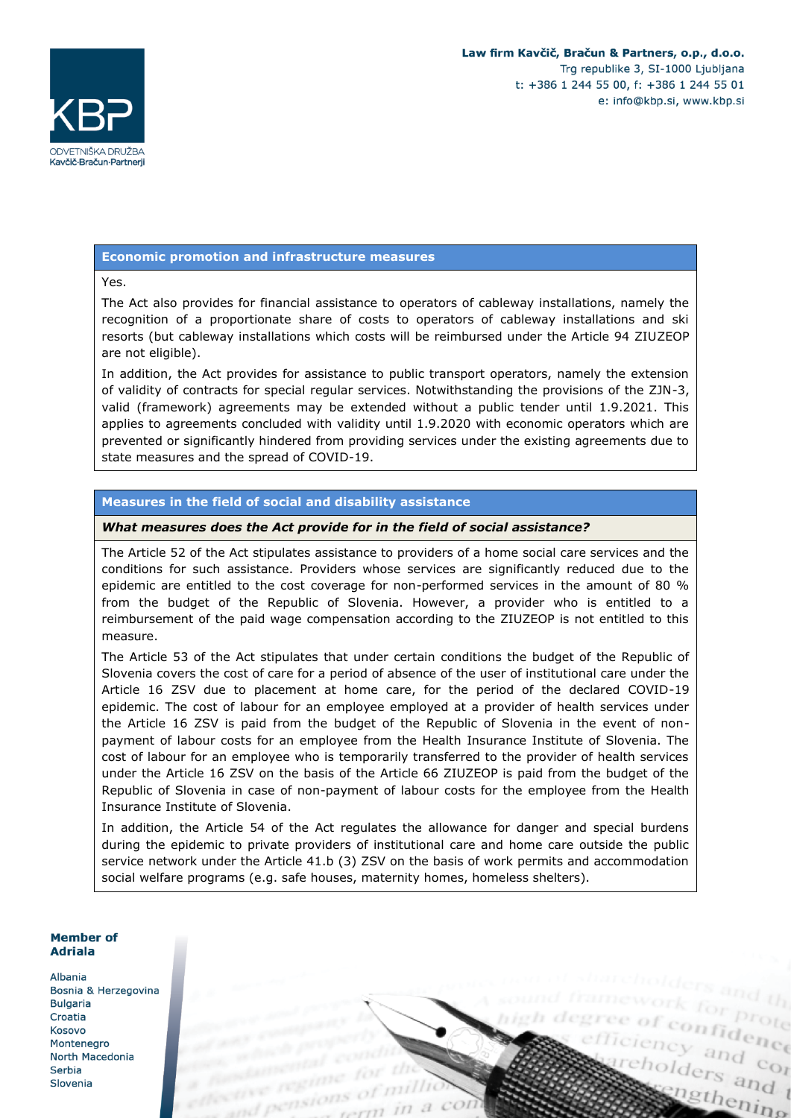

#### **Economic promotion and infrastructure measures**

Yes.

The Act also provides for financial assistance to operators of cableway installations, namely the recognition of a proportionate share of costs to operators of cableway installations and ski resorts (but cableway installations which costs will be reimbursed under the Article 94 ZIUZEOP are not eligible).

In addition, the Act provides for assistance to public transport operators, namely the extension of validity of contracts for special regular services. Notwithstanding the provisions of the ZJN-3, valid (framework) agreements may be extended without a public tender until 1.9.2021. This applies to agreements concluded with validity until 1.9.2020 with economic operators which are prevented or significantly hindered from providing services under the existing agreements due to state measures and the spread of COVID-19.

### **Measures in the field of social and disability assistance**

### *What measures does the Act provide for in the field of social assistance?*

The Article 52 of the Act stipulates assistance to providers of a home social care services and the conditions for such assistance. Providers whose services are significantly reduced due to the epidemic are entitled to the cost coverage for non-performed services in the amount of 80 % from the budget of the Republic of Slovenia. However, a provider who is entitled to a reimbursement of the paid wage compensation according to the ZIUZEOP is not entitled to this measure.

The Article 53 of the Act stipulates that under certain conditions the budget of the Republic of Slovenia covers the cost of care for a period of absence of the user of institutional care under the Article 16 ZSV due to placement at home care, for the period of the declared COVID-19 epidemic. The cost of labour for an employee employed at a provider of health services under the Article 16 ZSV is paid from the budget of the Republic of Slovenia in the event of nonpayment of labour costs for an employee from the Health Insurance Institute of Slovenia. The cost of labour for an employee who is temporarily transferred to the provider of health services under the Article 16 ZSV on the basis of the Article 66 ZIUZEOP is paid from the budget of the Republic of Slovenia in case of non-payment of labour costs for the employee from the Health Insurance Institute of Slovenia.

In addition, the Article 54 of the Act regulates the allowance for danger and special burdens during the epidemic to private providers of institutional care and home care outside the public service network under the Article 41.b (3) ZSV on the basis of work permits and accommodation social welfare programs (e.g. safe houses, maternity homes, homeless shelters).

#### Member of **Adriala**

Albania Bosnia & Herzegovina **Bulgaria** Croatia Kosovo Montenegro North Macedonia Serbia Slovenia

ree of confidence gree of confidence cholders and t ingthening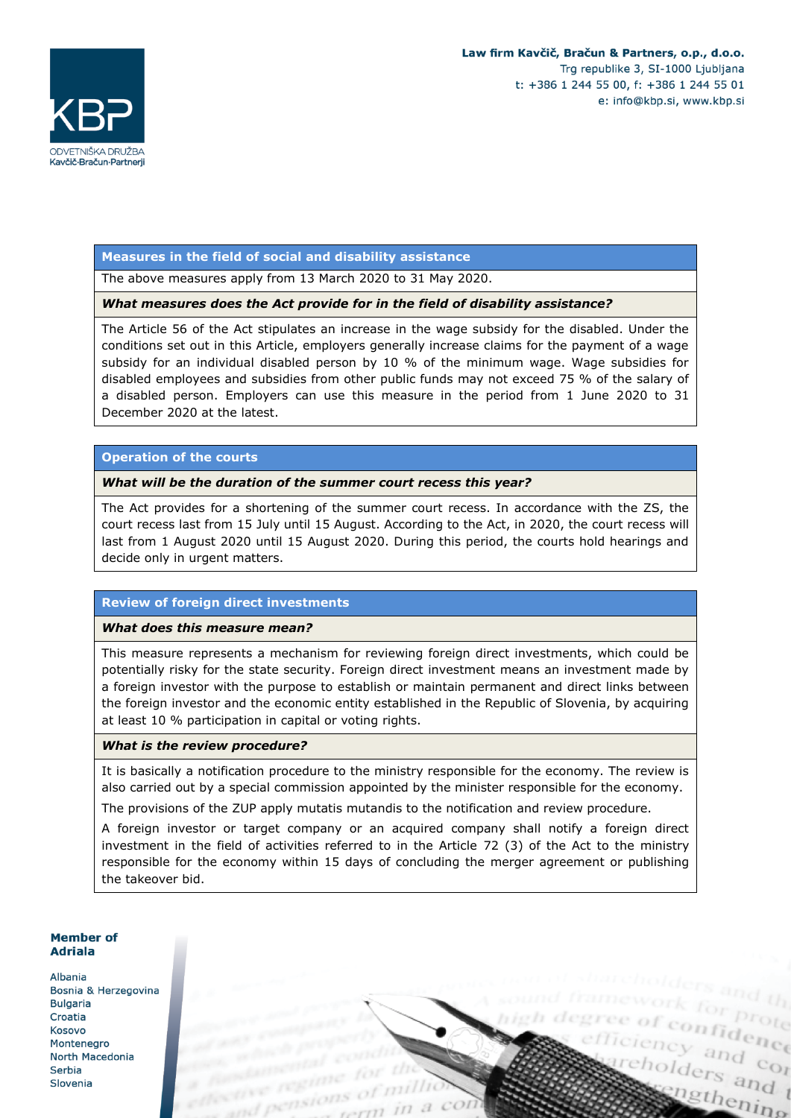efficiency and contain

cholders and t

ingthening



#### **Measures in the field of social and disability assistance**

The above measures apply from 13 March 2020 to 31 May 2020.

#### *What measures does the Act provide for in the field of disability assistance?*

The Article 56 of the Act stipulates an increase in the wage subsidy for the disabled. Under the conditions set out in this Article, employers generally increase claims for the payment of a wage subsidy for an individual disabled person by 10 % of the minimum wage. Wage subsidies for disabled employees and subsidies from other public funds may not exceed 75 % of the salary of a disabled person. Employers can use this measure in the period from 1 June 2020 to 31 December 2020 at the latest.

### **Operation of the courts**

#### *What will be the duration of the summer court recess this year?*

The Act provides for a shortening of the summer court recess. In accordance with the ZS, the court recess last from 15 July until 15 August. According to the Act, in 2020, the court recess will last from 1 August 2020 until 15 August 2020. During this period, the courts hold hearings and decide only in urgent matters.

### **Review of foreign direct investments**

#### *What does this measure mean?*

This measure represents a mechanism for reviewing foreign direct investments, which could be potentially risky for the state security. Foreign direct investment means an investment made by a foreign investor with the purpose to establish or maintain permanent and direct links between the foreign investor and the economic entity established in the Republic of Slovenia, by acquiring at least 10 % participation in capital or voting rights.

#### *What is the review procedure?*

It is basically a notification procedure to the ministry responsible for the economy. The review is also carried out by a special commission appointed by the minister responsible for the economy.

The provisions of the ZUP apply mutatis mutandis to the notification and review procedure.

A foreign investor or target company or an acquired company shall notify a foreign direct investment in the field of activities referred to in the Article 72 (3) of the Act to the ministry responsible for the economy within 15 days of concluding the merger agreement or publishing the takeover bid.

### **Member of Adriala**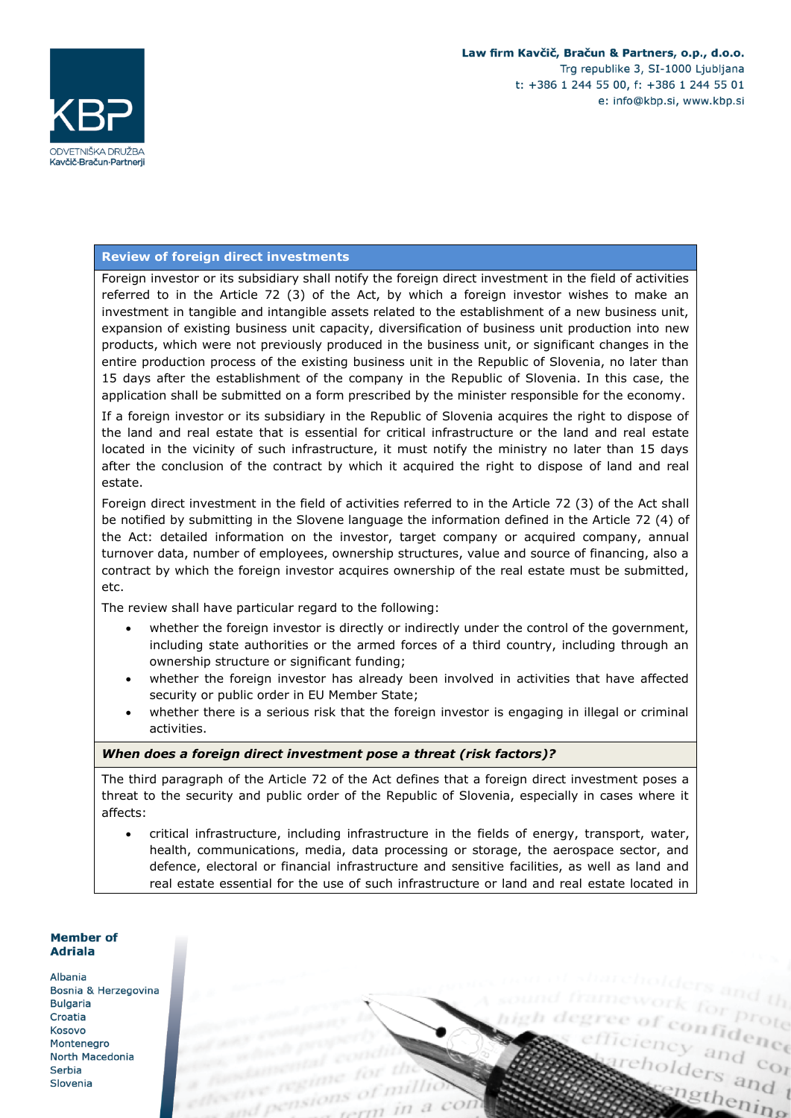

cholders and t

ingthening

efficiency and contained

### **Review of foreign direct investments**

Foreign investor or its subsidiary shall notify the foreign direct investment in the field of activities referred to in the Article 72 (3) of the Act, by which a foreign investor wishes to make an investment in tangible and intangible assets related to the establishment of a new business unit, expansion of existing business unit capacity, diversification of business unit production into new products, which were not previously produced in the business unit, or significant changes in the entire production process of the existing business unit in the Republic of Slovenia, no later than 15 days after the establishment of the company in the Republic of Slovenia. In this case, the application shall be submitted on a form prescribed by the minister responsible for the economy.

If a foreign investor or its subsidiary in the Republic of Slovenia acquires the right to dispose of the land and real estate that is essential for critical infrastructure or the land and real estate located in the vicinity of such infrastructure, it must notify the ministry no later than 15 days after the conclusion of the contract by which it acquired the right to dispose of land and real estate.

Foreign direct investment in the field of activities referred to in the Article 72 (3) of the Act shall be notified by submitting in the Slovene language the information defined in the Article 72 (4) of the Act: detailed information on the investor, target company or acquired company, annual turnover data, number of employees, ownership structures, value and source of financing, also a contract by which the foreign investor acquires ownership of the real estate must be submitted, etc.

The review shall have particular regard to the following:

- whether the foreign investor is directly or indirectly under the control of the government, including state authorities or the armed forces of a third country, including through an ownership structure or significant funding;
- whether the foreign investor has already been involved in activities that have affected security or public order in EU Member State;
- whether there is a serious risk that the foreign investor is engaging in illegal or criminal activities.

#### *When does a foreign direct investment pose a threat (risk factors)?*

The third paragraph of the Article 72 of the Act defines that a foreign direct investment poses a threat to the security and public order of the Republic of Slovenia, especially in cases where it affects:

• critical infrastructure, including infrastructure in the fields of energy, transport, water, health, communications, media, data processing or storage, the aerospace sector, and defence, electoral or financial infrastructure and sensitive facilities, as well as land and real estate essential for the use of such infrastructure or land and real estate located in

### **Member of Adriala**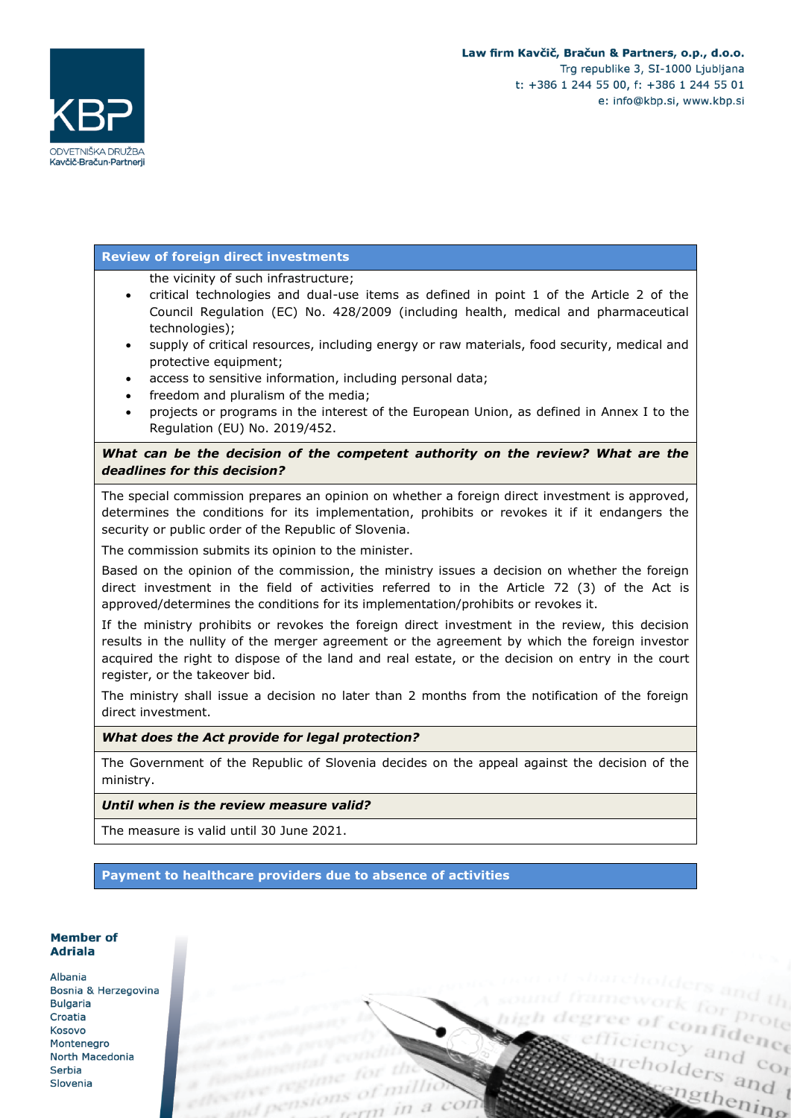

### **Review of foreign direct investments**

the vicinity of such infrastructure;

- critical technologies and dual-use items as defined in point 1 of the Article 2 of the Council Regulation (EC) No. 428/2009 (including health, medical and pharmaceutical technologies);
- supply of critical resources, including energy or raw materials, food security, medical and protective equipment;
- access to sensitive information, including personal data;
- freedom and pluralism of the media;
- projects or programs in the interest of the European Union, as defined in Annex I to the Regulation (EU) No. 2019/452.

# What can be the decision of the competent authority on the review? What are the *deadlines for this decision?*

The special commission prepares an opinion on whether a foreign direct investment is approved, determines the conditions for its implementation, prohibits or revokes it if it endangers the security or public order of the Republic of Slovenia.

The commission submits its opinion to the minister.

Based on the opinion of the commission, the ministry issues a decision on whether the foreign direct investment in the field of activities referred to in the Article 72 (3) of the Act is approved/determines the conditions for its implementation/prohibits or revokes it.

If the ministry prohibits or revokes the foreign direct investment in the review, this decision results in the nullity of the merger agreement or the agreement by which the foreign investor acquired the right to dispose of the land and real estate, or the decision on entry in the court register, or the takeover bid.

The ministry shall issue a decision no later than 2 months from the notification of the foreign direct investment.

### *What does the Act provide for legal protection?*

The Government of the Republic of Slovenia decides on the appeal against the decision of the ministry.

### *Until when is the review measure valid?*

The measure is valid until 30 June 2021.

**Payment to healthcare providers due to absence of activities**

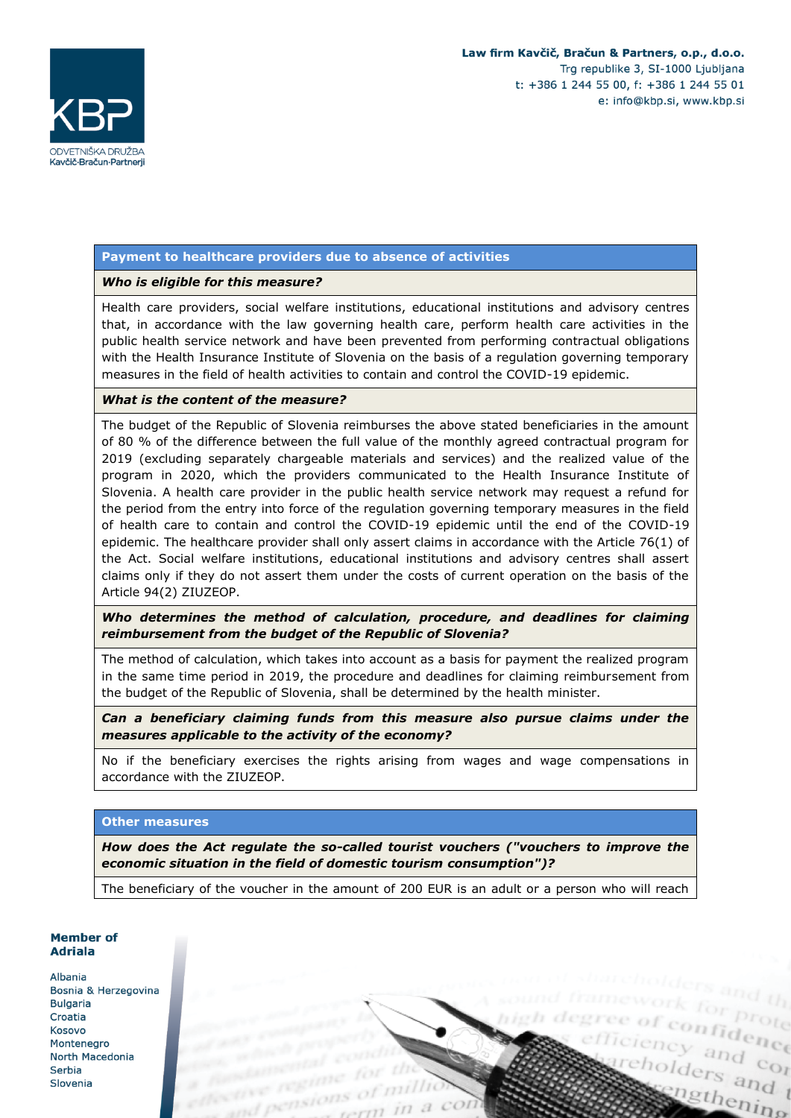ciency and control<br>eholders and control

cholders and t

ingthening



### **Payment to healthcare providers due to absence of activities**

### *Who is eligible for this measure?*

Health care providers, social welfare institutions, educational institutions and advisory centres that, in accordance with the law governing health care, perform health care activities in the public health service network and have been prevented from performing contractual obligations with the Health Insurance Institute of Slovenia on the basis of a regulation governing temporary measures in the field of health activities to contain and control the COVID-19 epidemic.

### *What is the content of the measure?*

The budget of the Republic of Slovenia reimburses the above stated beneficiaries in the amount of 80 % of the difference between the full value of the monthly agreed contractual program for 2019 (excluding separately chargeable materials and services) and the realized value of the program in 2020, which the providers communicated to the Health Insurance Institute of Slovenia. A health care provider in the public health service network may request a refund for the period from the entry into force of the regulation governing temporary measures in the field of health care to contain and control the COVID-19 epidemic until the end of the COVID-19 epidemic. The healthcare provider shall only assert claims in accordance with the Article 76(1) of the Act. Social welfare institutions, educational institutions and advisory centres shall assert claims only if they do not assert them under the costs of current operation on the basis of the Article 94(2) ZIUZEOP.

*Who determines the method of calculation, procedure, and deadlines for claiming reimbursement from the budget of the Republic of Slovenia?*

The method of calculation, which takes into account as a basis for payment the realized program in the same time period in 2019, the procedure and deadlines for claiming reimbursement from the budget of the Republic of Slovenia, shall be determined by the health minister.

*Can a beneficiary claiming funds from this measure also pursue claims under the measures applicable to the activity of the economy?*

No if the beneficiary exercises the rights arising from wages and wage compensations in accordance with the ZIUZEOP.

#### **Other measures**

*How does the Act regulate the so-called tourist vouchers ("vouchers to improve the economic situation in the field of domestic tourism consumption")?*

The beneficiary of the voucher in the amount of 200 EUR is an adult or a person who will reach

#### Member of **Adriala**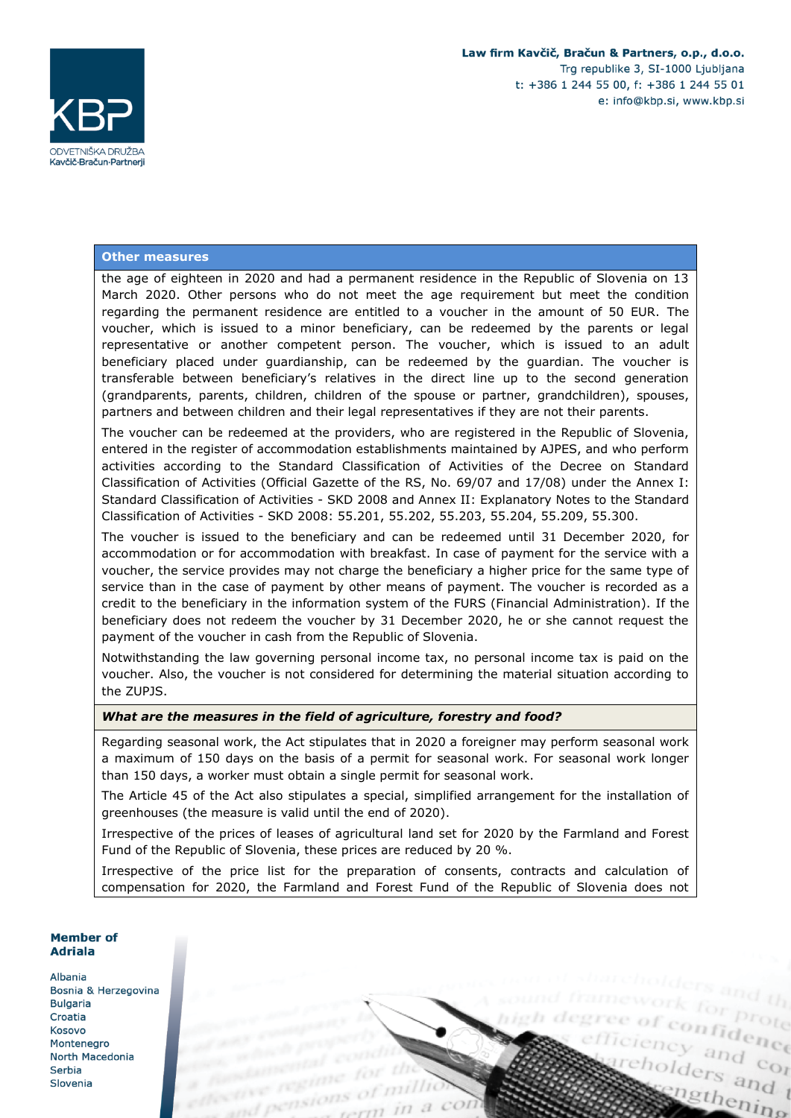

enfidence

cholders and t

ingthening

#### **Other measures**

the age of eighteen in 2020 and had a permanent residence in the Republic of Slovenia on 13 March 2020. Other persons who do not meet the age requirement but meet the condition regarding the permanent residence are entitled to a voucher in the amount of 50 EUR. The voucher, which is issued to a minor beneficiary, can be redeemed by the parents or legal representative or another competent person. The voucher, which is issued to an adult beneficiary placed under guardianship, can be redeemed by the guardian. The voucher is transferable between beneficiary's relatives in the direct line up to the second generation (grandparents, parents, children, children of the spouse or partner, grandchildren), spouses, partners and between children and their legal representatives if they are not their parents.

The voucher can be redeemed at the providers, who are registered in the Republic of Slovenia, entered in the register of accommodation establishments maintained by AJPES, and who perform activities according to the Standard Classification of Activities of the Decree on Standard Classification of Activities (Official Gazette of the RS, No. 69/07 and 17/08) under the Annex I: Standard Classification of Activities - SKD 2008 and Annex II: Explanatory Notes to the Standard Classification of Activities - SKD 2008: 55.201, 55.202, 55.203, 55.204, 55.209, 55.300.

The voucher is issued to the beneficiary and can be redeemed until 31 December 2020, for accommodation or for accommodation with breakfast. In case of payment for the service with a voucher, the service provides may not charge the beneficiary a higher price for the same type of service than in the case of payment by other means of payment. The voucher is recorded as a credit to the beneficiary in the information system of the FURS (Financial Administration). If the beneficiary does not redeem the voucher by 31 December 2020, he or she cannot request the payment of the voucher in cash from the Republic of Slovenia.

Notwithstanding the law governing personal income tax, no personal income tax is paid on the voucher. Also, the voucher is not considered for determining the material situation according to the ZUPJS.

#### *What are the measures in the field of agriculture, forestry and food?*

Regarding seasonal work, the Act stipulates that in 2020 a foreigner may perform seasonal work a maximum of 150 days on the basis of a permit for seasonal work. For seasonal work longer than 150 days, a worker must obtain a single permit for seasonal work.

The Article 45 of the Act also stipulates a special, simplified arrangement for the installation of greenhouses (the measure is valid until the end of 2020).

Irrespective of the prices of leases of agricultural land set for 2020 by the Farmland and Forest Fund of the Republic of Slovenia, these prices are reduced by 20 %.

Irrespective of the price list for the preparation of consents, contracts and calculation of compensation for 2020, the Farmland and Forest Fund of the Republic of Slovenia does not

#### Member of **Adriala**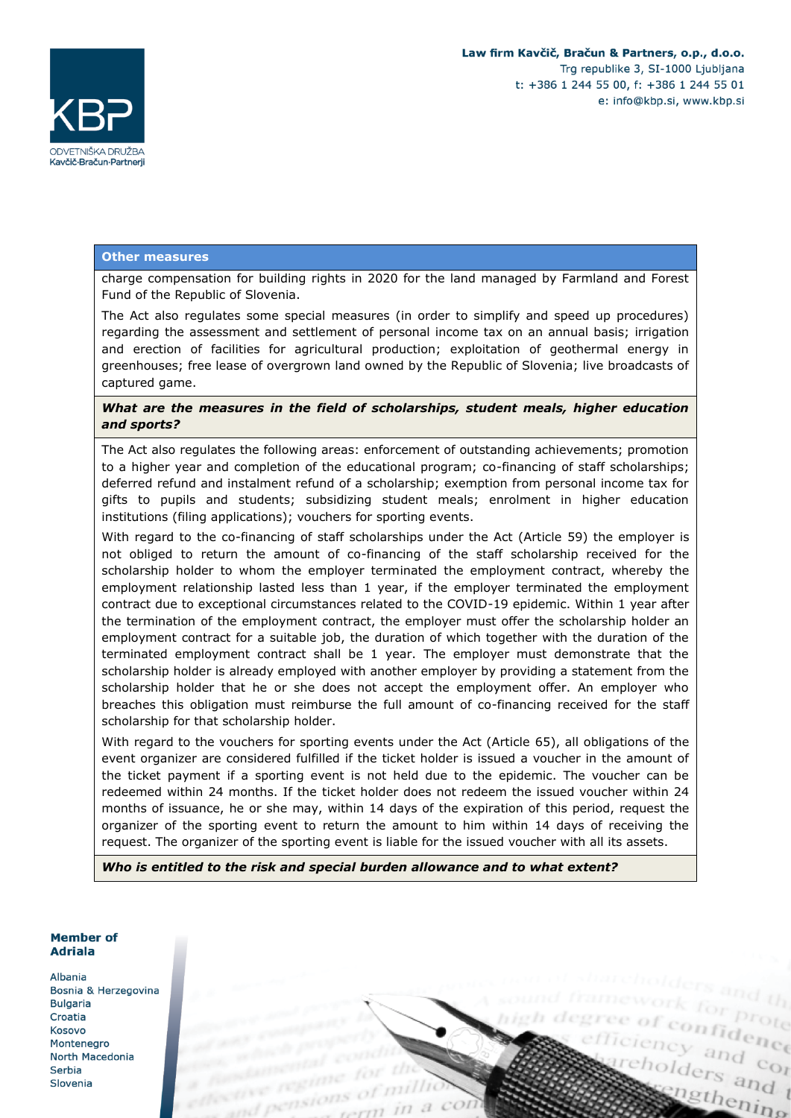

#### **Other measures**

charge compensation for building rights in 2020 for the land managed by Farmland and Forest Fund of the Republic of Slovenia.

The Act also regulates some special measures (in order to simplify and speed up procedures) regarding the assessment and settlement of personal income tax on an annual basis; irrigation and erection of facilities for agricultural production; exploitation of geothermal energy in greenhouses; free lease of overgrown land owned by the Republic of Slovenia; live broadcasts of captured game.

### *What are the measures in the field of scholarships, student meals, higher education and sports?*

The Act also regulates the following areas: enforcement of outstanding achievements; promotion to a higher year and completion of the educational program; co-financing of staff scholarships; deferred refund and instalment refund of a scholarship; exemption from personal income tax for gifts to pupils and students; subsidizing student meals; enrolment in higher education institutions (filing applications); vouchers for sporting events.

With regard to the co-financing of staff scholarships under the Act (Article 59) the employer is not obliged to return the amount of co-financing of the staff scholarship received for the scholarship holder to whom the employer terminated the employment contract, whereby the employment relationship lasted less than 1 year, if the employer terminated the employment contract due to exceptional circumstances related to the COVID-19 epidemic. Within 1 year after the termination of the employment contract, the employer must offer the scholarship holder an employment contract for a suitable job, the duration of which together with the duration of the terminated employment contract shall be 1 year. The employer must demonstrate that the scholarship holder is already employed with another employer by providing a statement from the scholarship holder that he or she does not accept the employment offer. An employer who breaches this obligation must reimburse the full amount of co-financing received for the staff scholarship for that scholarship holder.

With regard to the vouchers for sporting events under the Act (Article 65), all obligations of the event organizer are considered fulfilled if the ticket holder is issued a voucher in the amount of the ticket payment if a sporting event is not held due to the epidemic. The voucher can be redeemed within 24 months. If the ticket holder does not redeem the issued voucher within 24 months of issuance, he or she may, within 14 days of the expiration of this period, request the organizer of the sporting event to return the amount to him within 14 days of receiving the request. The organizer of the sporting event is liable for the issued voucher with all its assets.

*Who is entitled to the risk and special burden allowance and to what extent?*

### **Member of Adriala**

Albania Bosnia & Herzegovina **Bulgaria** Croatia Kosovo Montenegro North Macedonia Serbia Slovenia

ee of confidence ciency and control<br>eholders and control cholders and t ingthening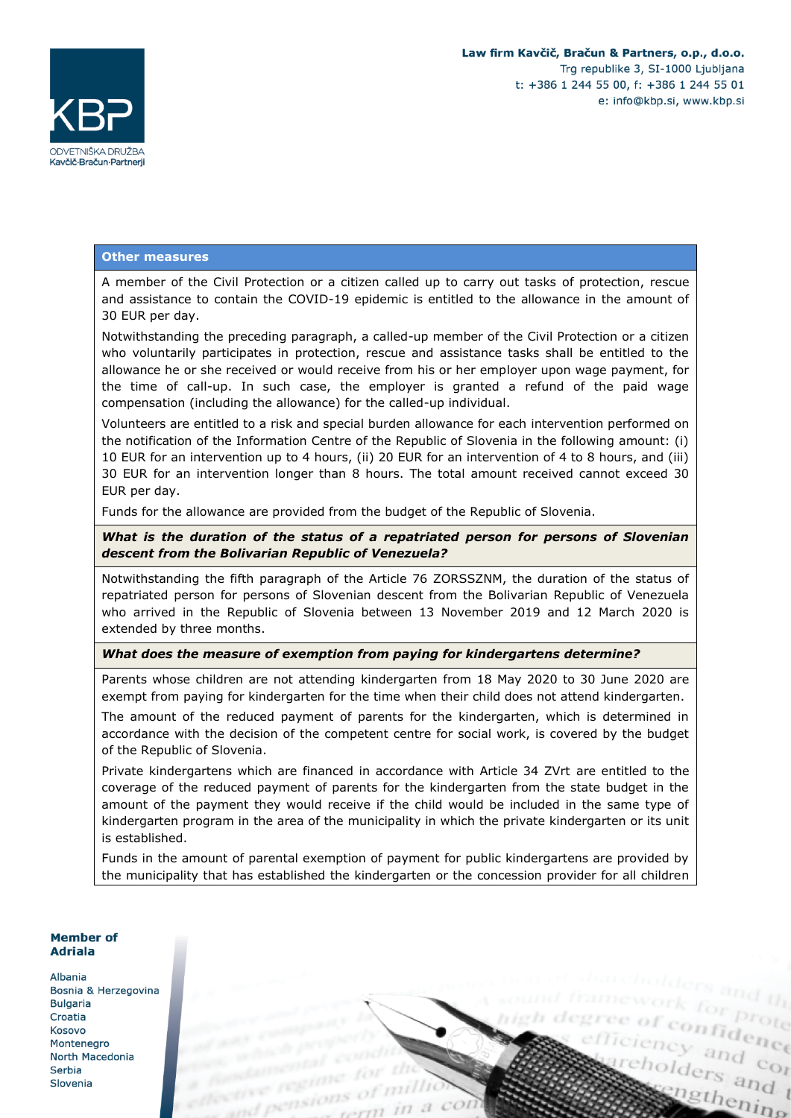cholders and t

ingthening

efficiency and contained



#### **Other measures**

A member of the Civil Protection or a citizen called up to carry out tasks of protection, rescue and assistance to contain the COVID-19 epidemic is entitled to the allowance in the amount of 30 EUR per day.

Notwithstanding the preceding paragraph, a called-up member of the Civil Protection or a citizen who voluntarily participates in protection, rescue and assistance tasks shall be entitled to the allowance he or she received or would receive from his or her employer upon wage payment, for the time of call-up. In such case, the employer is granted a refund of the paid wage compensation (including the allowance) for the called-up individual.

Volunteers are entitled to a risk and special burden allowance for each intervention performed on the notification of the Information Centre of the Republic of Slovenia in the following amount: (i) 10 EUR for an intervention up to 4 hours, (ii) 20 EUR for an intervention of 4 to 8 hours, and (iii) 30 EUR for an intervention longer than 8 hours. The total amount received cannot exceed 30 EUR per day.

Funds for the allowance are provided from the budget of the Republic of Slovenia.

*What is the duration of the status of a repatriated person for persons of Slovenian descent from the Bolivarian Republic of Venezuela?*

Notwithstanding the fifth paragraph of the Article 76 ZORSSZNM, the duration of the status of repatriated person for persons of Slovenian descent from the Bolivarian Republic of Venezuela who arrived in the Republic of Slovenia between 13 November 2019 and 12 March 2020 is extended by three months.

#### *What does the measure of exemption from paying for kindergartens determine?*

Parents whose children are not attending kindergarten from 18 May 2020 to 30 June 2020 are exempt from paying for kindergarten for the time when their child does not attend kindergarten.

The amount of the reduced payment of parents for the kindergarten, which is determined in accordance with the decision of the competent centre for social work, is covered by the budget of the Republic of Slovenia.

Private kindergartens which are financed in accordance with Article 34 ZVrt are entitled to the coverage of the reduced payment of parents for the kindergarten from the state budget in the amount of the payment they would receive if the child would be included in the same type of kindergarten program in the area of the municipality in which the private kindergarten or its unit is established.

Funds in the amount of parental exemption of payment for public kindergartens are provided by the municipality that has established the kindergarten or the concession provider for all children

#### **Member of Adriala**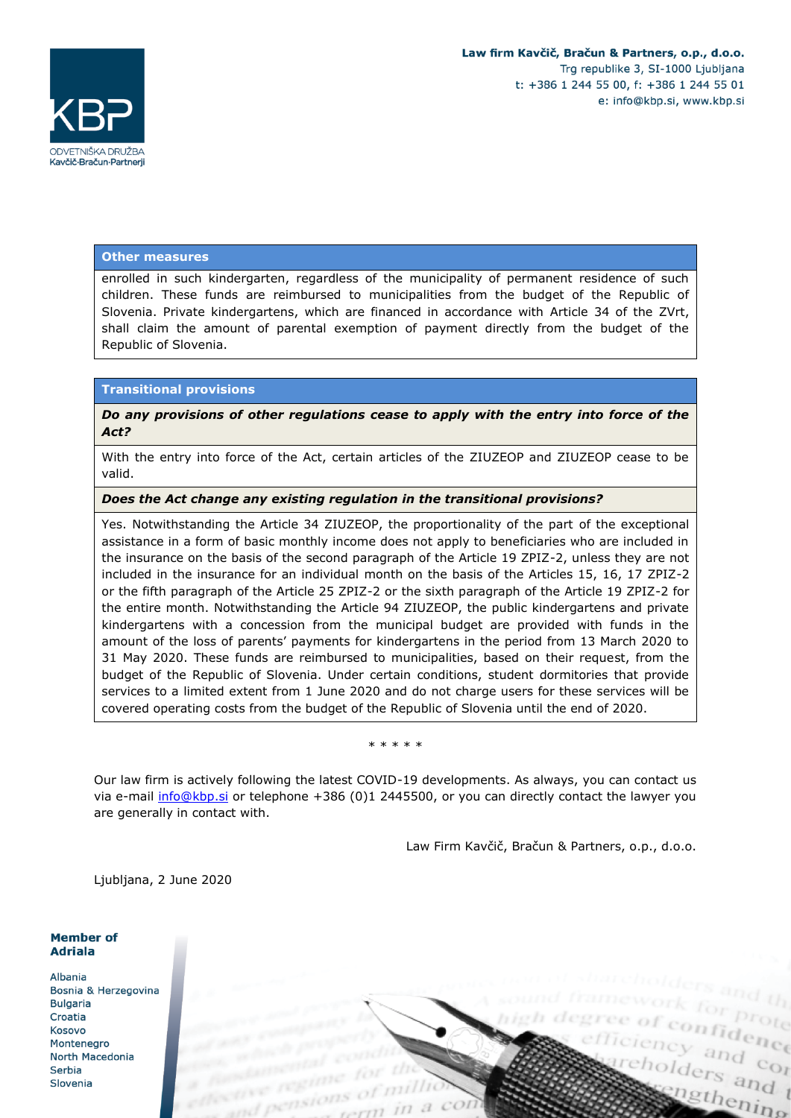

#### **Other measures**

enrolled in such kindergarten, regardless of the municipality of permanent residence of such children. These funds are reimbursed to municipalities from the budget of the Republic of Slovenia. Private kindergartens, which are financed in accordance with Article 34 of the ZVrt, shall claim the amount of parental exemption of payment directly from the budget of the Republic of Slovenia.

### **Transitional provisions**

*Do any provisions of other regulations cease to apply with the entry into force of the Act?*

With the entry into force of the Act, certain articles of the ZIUZEOP and ZIUZEOP cease to be valid.

#### *Does the Act change any existing regulation in the transitional provisions?*

Yes. Notwithstanding the Article 34 ZIUZEOP, the proportionality of the part of the exceptional assistance in a form of basic monthly income does not apply to beneficiaries who are included in the insurance on the basis of the second paragraph of the Article 19 ZPIZ-2, unless they are not included in the insurance for an individual month on the basis of the Articles 15, 16, 17 ZPIZ-2 or the fifth paragraph of the Article 25 ZPIZ-2 or the sixth paragraph of the Article 19 ZPIZ-2 for the entire month. Notwithstanding the Article 94 ZIUZEOP, the public kindergartens and private kindergartens with a concession from the municipal budget are provided with funds in the amount of the loss of parents' payments for kindergartens in the period from 13 March 2020 to 31 May 2020. These funds are reimbursed to municipalities, based on their request, from the budget of the Republic of Slovenia. Under certain conditions, student dormitories that provide services to a limited extent from 1 June 2020 and do not charge users for these services will be covered operating costs from the budget of the Republic of Slovenia until the end of 2020.

#### \* \* \* \* \*

Our law firm is actively following the latest COVID-19 developments. As always, you can contact us via e-mail [info@kbp.si](mailto:info@kbp.si) or telephone +386 (0)1 2445500, or you can directly contact the lawyer you are generally in contact with.

Law Firm Kavčič, Bračun & Partners, o.p., d.o.o.

Ljubljana, 2 June 2020

#### **Member of Adriala**